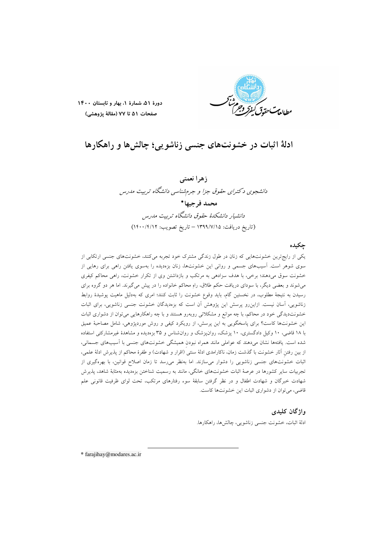

دورة ۵۱، شمارة ١، بهار و تابستان ١۴٠٠ صفحات ۵۱ تا ۷۷ (مقالهٔ پژوهشی)

# ادلهٔ اثبات در خشونتهای جنسی زناشویی؛ چالشها و راهکارها

زهرا نعمتي دانشجوی د کترای حقوق جزا و جرمشناسی دانشگاه تربیت مدرس محمد فرجيها\* دانشیار دانشکدهٔ حقوق دانشگاه تربیت مدرس (تاريخ دريافت: ١٣٩٩/٧/١٥ – تاريخ تصويب: ١٤٠٠/٢/١٢)

# چکیده

یکی از رایجترین خشونتهایی که زنان در طول زندگی مشترک خود تجربه میکنند، خشونتهای جنسی ارتکابی از سوی شوهر است. اسیبهای جسمی و روانی این خشونتها، زنان بزهدیده را بهسوی یافتن راهی برای رهایی از خشونت سوق میدهند؛ برخی، با هدف سزادهی به مرتکب و بازداشتن وی از تکرار خشونت، راهی محاکم کیفری می شوند و بعضی دیگر، با سودای دریافت حکم طلاق، راهِ محاکم خانواده را در پیش می گیرند. اما هر دو گروه برای رسیدن به نتیجهٔ مطلوب، در نخستین گام، باید وقوع خشونت را ثابت کنند؛ امری که بهدلیل ماهیت پوشیدهٔ روابط زناشویی، آسان نیست. ازاین رو پرسش این پژوهش آن است که بزهدیدگان خشونت جنسی زناشویی، برای اثبات خشونتدیدگی خود در محاکم، با چه موانع و مشکلاتی روبهرو هستند و با چه راهکارهایی میتوان از دشواری اثبات این خشونتها کاست؟ برای پاسخگویی به این پرسش، از رویکرد کیفی و روش موردپژوهی، شامل مصاحبهٔ عمیق با ۱۸ قاضی، ۱۰ وکیل دادگستری، ۱۰ پزشک، روانپزشک و روان شناس و ۳۵ بزهدیده و مشاهدهٔ غیرمشارکتی استفاده شده است. یافتهها نشان میدهند که عواملی مانند همراه نبودن همیشگی خشونتهای جنسی با آسیبهای جسمانی، از بین رفتن آثار خشونت با گذشت زمان، ناکارامدی ادلهٔ سنتی (اقرار و شهادت) و طفرهٔ محاکم از پذیرش ادلهٔ علمی، اثبات خشونتهای جنسی زناشویی را دشوار میسازند. اما بهنظر می رسد تا زمان اصلاح قوانین، با بهرهگیری از تجربیات سایر کشورها در عرصهٔ اثبات خشونتهای خانگی، مانند به رسمیت شناختن بزهدیده بهمثابهٔ شاهد، پذیرش شهادت خبرگان و شهادت اطفال و در نظر گرفتن سابقهٔ سوء رفتارهای مرتکب، تحت لوای ظرفیت قانونی علم قاضی، میتوان از دشواری اثبات این خشونتها کاست.

#### واژگان کلیدی

ادلهٔ اثبات، خشونت جنسی زناشویی، چالشها، راهکارها.

\* farajihay@modares.ac.ir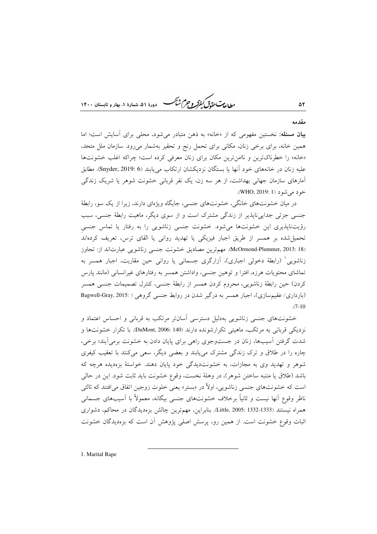ر ...<br>مطالعات تقو*ق کنفوکر و چرم شنگ* دودهٔ ۵۱، شمارهٔ ۱، بعاد و تابستان ۱۴۰۰

#### مقدمه

۵۲

بیان مسئله: نخستین مفهومی که از «خانه» به ذهن متبادر میشود، محلی برای آسایش است؛ اما همین خانه، برای برخی زنان، مکانی برای تحمل رنج و تحقیر بهشمار میرود. سازمان ملل متحد، «خانه» را خطرناکترین و ناامنترین مکان برای زنان معرفی کرده است؛ چراکه اغلب خشونتها عليه زنان در خانههاي خود آنها يا بستگان نزديكشان ارتكاب مي يابند (Snyder, 2019: 6). مطابق آمارهای سازمان جهانی بهداشت، از هر سه زن، یک نفر قربانی خشونت شوهر یا شریک زندگی خود مي شود (WHO, 2019: 1).

در میان خشونتهای خانگی، خشونتهای جنسی، جایگاه ویژهای دارند، زیرا از یک سو، رابطهٔ جنسی جزئی جدایی ناپذیر از زندگی مشترک است و از سوی دیگر، ماهیت رابطهٔ جنسی، سبب رؤیتناپذیری این خشونتها میشود. خشونت جنسی زناشویی را به رفتار یا تماس جنسی تحمیل شده بر همسر از طریق اجبار فیزیکی یا تهدید روانی یا القای ترس، تعریف کردهاند (McOrmond-Plummer, 2013: 18). مهمترين مصاديق خشونت جنسي زناشويي عبارتاند از: تجاوز زناشویی ٰ (رابطهٔ دخولی اجباری)، آزارگری جسمانی یا روانی حین مقاربت، اجبار همسر به تماشای محتویات هرزه، افترا و توهین جنسی، واداشتن همسر به رفتارهای غیرانسانی (مانند پارس كردن) حين رابطة زناشويي، محروم كردن همسر از رابطة جنسي، كنترل تصميمات جنسي همسر (بارداری/ عقیم سازی)، اجبار همسر به درگیر شدن در روابط جنسی گروهی ( :Bagwell-Gray, 2015  $(7-10)$ 

خشونتهای جنسی زناشویی بهدلیل دسترسی آسانتر مرتکب به قربانی و احساس اعتماد و نزدیکی قربانی به مرتکب، ماهیتی تکرارشونده دارند (DuMont, 2006: 140). با تکرار خشونتها و شدت گرفتن آسیبها، زنان در جستوجوی راهی برای پایان دادن به خشونت برمیآیند؛ برخی، چاره را در طلاق و ترک زندگی مشترک می یابند و بعضی دیگر، سعی میکنند با تعقیب کیفری شوهر و تهدید وی به مجازات، به خشونتدیدگی خود پایان دهند. خواستهٔ بزهدیده هرچه که باشد (طلاق یا متنبه ساختن شوهر)، در وهلهٔ نخست، وقوع خشونت باید ثابت شود. این در حالی است که خشونتهای جنسی زناشویی، اولاً در «بستر» یعنی خلوت زوجین اتفاق می|فتند که ثالثی ناظر وقوع أنها نيست و ثانياً برخلاف خشونتهاى جنسى بيگانه، معمولاً با اَسيبهاى جسمانى همراه نيستند (Little, 2005: 1332-1333). بنابراين، مهمترين چالش بزەديدگان در محاكم، دشواري اثبات وقوع خشونت است. از همین رو، پرسش اصلی پژوهش آن است که بزهدیدگان خشونت

1. Marital Rape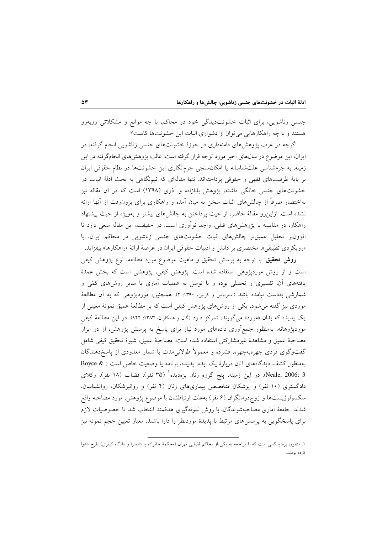جنسی زناشویی، برای اثبات خشونتدیدگی خود در محاکم، با چه موانع و مشکلاتی روبهرو هستند و با چه راهکارهایی می توان از دشواری اثبات این خشونتها کاست؟

اگرچه در غرب پژوهشهای دامنهداری در حوزهٔ خشونتهای جنسی زناشویی انجام گرفته، در ایران، این موضوع در سالهای اخیر مورد توجه قرار گرفته است. غالب پژوهشهای انجامگرفته در این زمینه، به جرمشناسی علتشناسانه یا امکان سنجی جرمانگاری این خشونتها در نظام حقوقی ایران بر پایهٔ ظرفیتهای فقهی و حقوقی پرداختهاند. تنها مقالهای که نیمنگاهی به بحث ادلهٔ اثبات در خشونتهای جنسی خانگی داشته، پژوهش بابازاده و آذری (۱۳۹۸) است که در آن مقاله نیز بهاختصار صرفاً از چالشهای اثبات سخن به میان آمده و راهکاری برای برون(فت از آنها ارائه نشده است. ازاین رو مقالهٔ حاضر، از حیث پرداختن به چالشهای بیشتر و بهویژه از حیث پیشنهاد راهکار، در مقایسه با پژوهشهای قبلی، واجد نوآوری است. در حقیقت، این مقاله سعی دارد تا افزون بر تحلیل عمیقتر چالشهای اثبات خشونتهای جنسی زناشویی در محاکم ایران، با «رویکردی تطبیقی»، مختصری بر دانش و ادبیات حقوقی ایران در عرصهٔ ارائهٔ «راهکارها» بیفزاید.

**روش تحقیق**: با توجه به پرسش تحقیق و ماهیت موضوع مورد مطالعه، نوع پژوهش کیفی است و از روش موردیژوهی استفاده شده است. پژوهش کیفی، پژوهشی است که بخش عمدهٔ یافتههای آن، تفسیری و تحلیلی بوده و با توسل به عملیات آماری یا سایر روشهای کمّی و شمارشی بهدست نیامده باشد (استراوس و کربین، ۱۳۹۰: ۲). همچنین، موردپژوهی که به آن مطالعهٔ موردی نیز گفته میشود، یکی از روشهای پژوهش کیفی است که بر مطالعهٔ عمیق نمونهٔ معینی از یک پدیده که بدان «مورد» می گویند، تمرکز دارد (گال و همکاران، ۱۳۸۳: ۹۴۲). در این مطالعهٔ کیفی موردیژوهانه، بهمنظور جمعآوری دادههای مورد نیاز برای پاسخ به پرسش پژوهش، از دو ابزار مصاحبهٔ عمیق و مشاهدهٔ غیرمشارکتی استفاده شده است. مصاحبهٔ عمیق، شیوهٔ تحقیق کیفی شامل گفتوگوی فردی چهرهبهچهره، فشرده و معمولاً طولانیمدت با شمار معدودی از پاسخ<هندگان بهمنظور کشف دیدگاههای آنان دربارهٔ یک ایده، پدیده، برنامه یا وضعیت خاص است ( & Boyce Neale, 2006: 3). در این زمینه، پنج گروهِ زنان بزهدیده<sup>ا</sup> (۳۵ نفر)، قضات (۱۸ نفر)، وکلای دادگستری (۱۰ نفر) و پزشکان متخصص بیماریهای زنان (۴ نفر) و روانپزشکان، روانشناسان، سکسولوژیستها و زوج٫درمانگران (۶ نفر) بهعلت ارتباطشان با موضوع پژوهش، مورد مصاحبه واقع شدند. جامعهٔ اَماری مصاحبهشوندگان، با روش نمونهگیری هدفمند انتخاب شد تا خصوصیات لازم برای پاسخگویی به پرسشهای مرتبط با پدیدهٔ موردنظر را دارا باشند. معیار تعیین حجم نمونه نیز

۱. منظور، بزهدیدگانی است که با مراجعه به یکی از محاکم قضایی تهران (محکمهٔ خانواده یا دادسرا و دادگاه کیفری) طرح دعوا كرده بودند.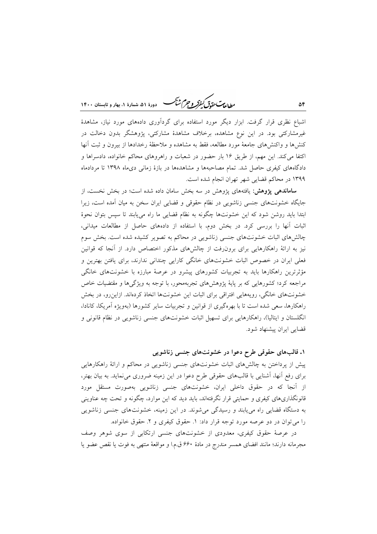ر ای<del>د کرد.</del><br>روان**د ترت کنفر و جرم شنگ ه**سی دورهٔ ۵۱، شهارهٔ ۱، بعاد و قابستان ۱۴۰۰

اشباع نظری قرار گرفت. ابزار دیگر مورد استفاده برای گردآوری دادههای مورد نیاز، مشاهدهٔ غیرمشارکتی بود. در این نوع مشاهده، برخلاف مشاهدهٔ مشارکتی، پژوهشگر بدون دخالت در کنشها و واکنشهای جامعهٔ مورد مطالعه، فقط به مشاهده و ملاحظهٔ رخدادها از بیرون و ثبت آنها اکتفا می کند. این مهم، از طریق ۱۶ بار حضور در شعبات و راهروهای محاکم خانواده، دادسراها و دادگاههای کیفری حاصل شد. تمام مصاحبهها و مشاهدهها در بازهٔ زمانی دیماه ۱۳۹۸ تا مردادماه ۱۳۹۹ در محاکم قضایی شهر تهران انجام شده است.

**ساماندهی یژوهش:** یافتههای یژوهش در سه بخش سامان داده شده است؛ در بخش نخست، از جایگاه خشونتهای جنسی زناشویی در نظام حقوقی و قضایی ایران سخن به میان آمده است، زیرا ابتدا بايد روشن شود كه اين خشونتها چگونه به نظام قضايي ما راه مي يابند تا سپس بتوان نحوهٔ اثبات آنها را بررسی کرد. در بخش دوم، با استفاده از دادههای حاصل از مطالعات میدانی، چالشهای اثبات خشونتهای جنسی زناشویی در محاکم به تصویر کشیده شده است. بخش سوم نیز به ارائهٔ راهکارهایی برای برون رفت از چالشهای مذکور اختصاص دارد. از آنجا که قوانین فعلی ایران در خصوص اثبات خشونتهای خانگی کارایی چندانی ندارند، برای یافتن بهترین و مؤثرترین راهکارها باید به تجربیات کشورهای پیشرو در عرصهٔ مبارزه با خشونتهای خانگی مراجعه کرد؛ کشورهایی که بر پایهٔ پژوهشهای تجربهمحور، با توجه به ویژگیها و مقتضیات خاص خشونتهای خانگی، رویههایی افتراقی برای اثبات این خشونتها اتخاذ کردهاند. ازاینرو، در بخش راهکارها، سعی شده است تا با بهرهگیری از قوانین و تجربیات سایر کشورها (بهویژه آمریکا، کانادا، انگلستان و ایتالیا)، راهکارهایی برای تسهیل اثبات خشونتهای جنسی زناشویی در نظام قانونی و قضایی ایران پیشنهاد شود.

۱. قالبهای حقوقی طرح دعوا در خشونتهای جنسی زناشویی

پیش از پرداختن به چالشهای اثبات خشونتهای جنسی زناشویی در محاکم و ارائهٔ راهکارهایی برای رفع آنها، آشنایی با قالبهای حقوقی طرح دعوا در این زمینه ضروری می نماید. به بیان بهتر، از آنجا که در حقوق داخلی ایران، خشونتهای جنسی زناشویی بهصورت مستقل مورد قانونگذاریهای کیفری و حمایتی قرار نگرفتهاند، باید دید که این موارد، چگونه و تحت چه عناوینی به دستگاه قضایی راه می یابند و رسیدگی میشوند. در این زمینه، خشونتهای جنسی زناشویی را می توان در دو عرصه مورد توجه قرار داد: ۱. حقوق کیفری و ۲. حقوق خانواده.

در عرصهٔ حقوق کیفری، معدودی از خشونتهای جنسی ارتکابی از سوی شوهر وصف مجرمانه دارند؛ مانند افضای همسر مندرج در مادهٔ ۶۶۰ ق.م.ا و مواقعهٔ منتهی به فوت یا نقص عضو یا

۵۴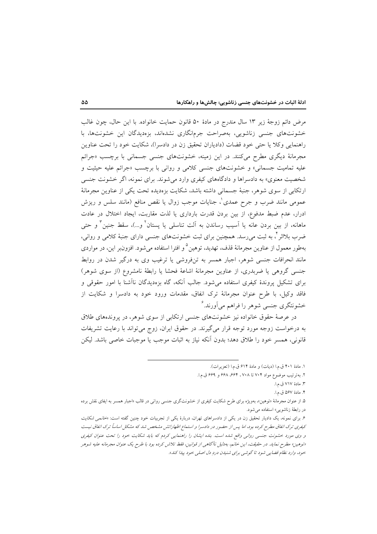مرض دائم زوجهٔ زیر ۱۳ سال مندرج در مادهٔ ۵۰ قانون حمایت خانواده. با این حال، چون غالب خشونتهای جنسی زناشویی، بهصراحت جرمانگاری نشدهاند، بزهدیدگان این خشونتها، با راهنمایی وکلا یا حتی خود قضات (دادیاران تحقیق زن در دادسرا)، شکایت خود را تحت عناوین مجرمانهٔ دیگری مطرح میکنند. در این زمینه، خشونتهای جنسی جسمانی با برچسب «جرائم علیه تمامیت جسمانی» و خشونتهای جنسی کلامی و روانی با برچسب «جرائم علیه حیثیت و شخصیت معنوی» به دادسراها و دادگاههای کیفری وارد می شوند. برای نمونه، اگر خشونت جنسی ارتکابی از سوی شوهر، جنبهٔ جسمانی داشته باشد، شکایت بزهدیده تحت یکی از عناوین مجرمانهٔ عمومی مانند ضرب و جرح عمدی ْ، جنایات موجب زوال یا نقص منافع (مانند سلس و ریزش ادرار، عدم ضبط مدفوع، از بین بردن قدرت بارداری یا لذت مقاربت، ایجاد اختلال در عادت ماهانه، از بین بردن عانه یا اَسیب رساندن به اَلت تناسلی یا پستان ٔ و…)، سقط جنین ٔ و حتی ضرب بلااثر <sup>۲</sup>، به ثبت می رسد. همچنین برای ثبت خشونتهای جنسی دارای جنبهٔ کلامی و روانی، بهطور معمول از عناوين مجرمانهٔ قذف، تهديد، توهين° و افترا استفاده مي شود. افزونبر اين، در مواردي مانند انحرافات جنسی شوهر، اجبار همسر به تنفروشی یا ترغیب وی به درگیر شدن در روابط جنسی گروهی یا ضربدری، از عناوین مجرمانهٔ اشاعهٔ فحشا یا رابطهٔ نامشروع (از سوی شوهر) برای تشکیل پروندهٔ کیفری استفاده می شود. جالب آنکه، گاه بزهدیدگان ناآشنا با امور حقوقی و فاقد وکیل، با طرح عنوان مجرمانهٔ ترک انفاق، مقدمات ورود خود به دادسرا و شکایت از خشونتگری جنسی شوهر را فراهم می آورند.<sup>۶</sup>

در عرصهٔ حقوق خانواده نیز خشونتهای جنسی ارتکابی از سوی شوهر، در پروندههای طلاق به درخواست زوجه مورد توجه قرار می گیرند. در حقوق ایران، زوج می تواند با رعایت تشریفات قانونی، همسر خود را طلاق دهد؛ بدون آنکه نیاز به اثبات موجب یا موجبات خاصی باشد. لیکن

١. مادة ٢٠١ ق.م.ا (ديات) و مادة ۶۱۴ ق.م.ا (تعزيرات).

۲. به ترتیب موضوع مواد ۷۰۴ تا ۷۰۸، ۶۶۴، ۶۶۸ و ۶۶۹ ق.م.ا.

٣. مادهٔ ٧١٧ ق.م.ا.

۴. مادة ۵۶۷ ق.م.ا.

<sup>.&</sup>lt;br>۵. از عنوان مجرمانهٔ «توهین»، بهویژه برای طرح شکایت کیفری از خشونتگری جنسی روانی در قالب «اجبار همسر به ایفای نقش برده در رابطة زناشويي» استفاده مي شود.

۶. برای نمونه، یک دادیار تحقیق زن در یکی از دادسراهای تهران، دربارهٔ یکی از تجربیات خود چنین گفته است: «*خانمی شکایت* کیفری ترک انفاق مطرح کرده بود، اما پس از حضور در دادسرا و استماع اظهاراتش مشخص شد که مشکل اساساً ترک انفاق نیست و وی مورد خشونت جنسی روانی واقع شده است. بنده ایشان را راهنمایی کردم که باید شکایت خود را تحت عنوان کیفری اتوهین» مطرح نماید. در حقیقت، این خانم، بهدلیل ناآگاهی از قوانین، فقط تلاش کرده بود با طرح یک عنوان مجرمانه علیه شوهر خود، وارد نظام قضایی شود تا گوشی برای شنیان دردِ دل اصلی خود پیا، کناه».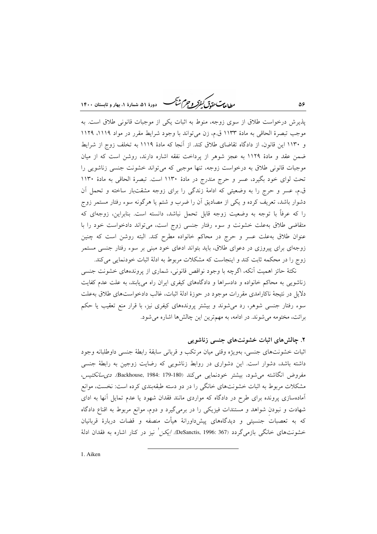ر داندست متقاس کرد.<br>روالطالبات متقاقل کفرکر و جرم شنگ دودهٔ ۵۱، شعادهٔ ۱، بعاد و تابستان ۱۴۰۰

یذیرش درخواست طلاق از سوی زوجه، منوط به اثبات یکی از موجبات قانونی طلاق است. به موجب تبصرهٔ الحاقی به مادهٔ ۱۱۳۳ ق.م، زن میتواند با وجود شرایط مقرر در مواد ۱۱۱۹، ۱۱۲۹ و ۱۱۳۰ این قانون، از دادگاه تقاضای طلاق کند. از آنجا که مادهٔ ۱۱۱۹ به تخلف زوج از شرایط ضمن عقد و مادهٔ ۱۱۲۹ به عجز شوهر از پرداخت نفقه اشاره دارند، روشن است که از میان موجبات قانونی طلاق به درخواست زوجه، تنها موجبی که میتواند خشونت جنسی زناشویی را تحت لوای خود بگیرد، عسر و حرج مندرج در مادهٔ ۱۱۳۰ است. تبصرهٔ الحاقی به مادهٔ ۱۱۳۰ ق.م، عسر و حرج را به وضعیتی که ادامهٔ زندگی را برای زوجه مشقتبار ساخته و تحمل آن دشوار باشد، تعریف کرده و یکی از مصادیق آن را ضرب و شتم یا هرگونه سوء رفتار مستمر زوج را که عرفاً با توجه به وضعیت زوجه قابل تحمل نباشد، دانسته است. بنابراین، زوجهای که متقاضی طلاق به علت خشونت و سوء رفتار جنسی زوج است، می تواند دادخواست خود را با عنوان طلاق بهعلت عسر و حرج در محاکم خانواده مطرح کند. البته روشن است که چنین زوجهای برای پیروزی در دعوای طلاق، باید بتواند ادعای خود مبنی بر سوء رفتار جنسی مستمر زوج را در محکمه ثابت کند و اینجاست که مشکلات مربوط به ادلهٔ اثبات خودنمایی میکند.

نکتهٔ حائز اهمیت اّنکه، اگرچه با وجود نواقص قانونی، شماری از پروندههای خشونت جنسی زناشویی به محاکم خانواده و دادسراها و دادگاههای کیفری ایران راه می یابند، به علت عدم کفایت دلایل در نتیجهٔ ناکارامدی مقررات موجود در حوزهٔ ادلهٔ اثبات، غالب دادخواستهای طلاق بهعلت سوء رفتار جنسی شوهر، رد میشوند و بیشتر پروندههای کیفری نیز، با قرار منع تعقیب یا حکم برائت، مختومه می شوند. در ادامه، به مهم ترین این چالشها اشاره می شود.

## ۲. چالشهای اثبات خشونتهای جنسی زناشویی

۵۶

اثبات خشونتهای جنسی، بهویژه وقتی میان مرتکب و قربانی سابقهٔ رابطهٔ جنسی داوطلبانه وجود داشته باشد، دشوار است. این دشواری در روابط زناشویی که رضایت زوجین به رابطهٔ جنسی مفروض انگاشته می شود، بیشتر خودنمایی میکند (Backhouse, 1984: 179-180). دی سانکتیس، مشکلات مربوط به اثبات خشونتهای خانگی را در دو دسته طبقهبندی کرده است: نخست، موانع آمادهسازی پرونده برای طرح در دادگاه که مواردی مانند فقدان شهود یا عدم تمایل آنها به ادای شهادت و نبودن شواهد و مستندات فیزیکی را در برمیگیرد و دوم، موانع مربوط به اقناع دادگاه که به تعصبات جنسیتی و دیدگاههای پیشداورانهٔ هیأت منصفه و قضات دربارهٔ قربانیان خشونتهای خانگی بازمی گردد (DeSanctis, 1996: 367. /یکن ٰ نیز در کنار اشاره به فقدان ادلهٔ

1. Aiken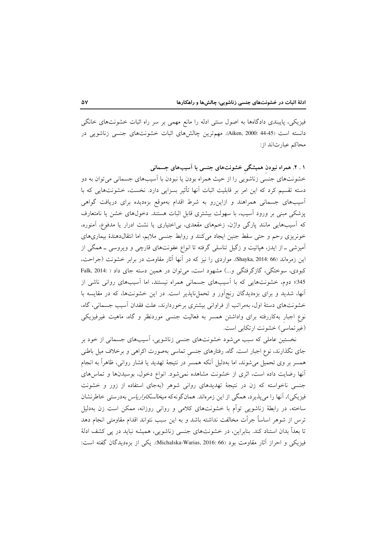فیزیکی، پایبندی دادگاهها به اصول سنتی ادله را مانع مهمی بر سر راه اثبات خشونتهای خانگی دانسته است (45-44 :Aiken, 2000). مهمترين چالشهاى اثبات خشونتهاى جنسى زناشويى در محاكم عبارتاند از:

۱ . ۲. همراه نبودن همیشگی خشونتهای جنسی با آسیبهای جسمانی خشونتهای جنسی زناشویی را از حیث همراه بودن یا نبودن با آسیبهای جسمانی می توان به دو دسته تقسیم کرد که این امر بر قابلیت اثبات آنها تأثیر بسزایی دارد. نخست، خشونتهایی که با آسیبهای جسمانی همراهند و ازاین رو به شرط اقدام بهموقع بزهدیده برای دریافت گواهی پزشکی مبنی بر ورود آسیب، با سهولت بیشتری قابل اثبات هستند. دخولهای خشن یا نامتعارف که اسیبهایی مانند پارگی واژن، زخمهای مقعدی، بی|ختیاری یا نشت ادرار یا مدفوع، اَمنوره، خونریزی رحم و حتی سقط جنین ایجاد میکنند و روابط جنسی ملایم، اما انتقالدهندهٔ بیماریهای آمیزشی ـ از ایدز، هپاتیت و زگیل تناسلی گرفته تا انواع عفونتهای قارچی و ویروسی ــ همگی از این زمرهاند Shayka, 2014: 66). مواردی را نیز که در آنها آثار مقاومت در برابر خشونت (جراحت، کبودی، سوختگی، گازگرفتگی و...) مشهود است، می توان در همین دسته جای داد ( :Falk, 2014 345)؛ دوم، خشونتهایی که با آسیبهای جسمانی همراه نیستند، اما آسیبهای روانی ناشی از آنها، شدید و برای بزهدیدگان رنج آور و تحمل ناپذیر است. در این خشونتها، که در مقایسه با خشونتهای دستهٔ اول، بهمراتب از فراوانی بیشتری برخوردارند، علت فقدان آسیب جسمانی، گاه، نوع اجبار بهکاررفته برای واداشتن همسر به فعالیت جنسی موردنظر و گاه، ماهیت غیرفیزیکی (غیرتماسی) خشونت ارتکابی است.

نخستین عاملی که سبب میشود خشونتهای جنسی زناشویی، آسیبهای جسمانی از خود بر جای نگذارند، نوع اجبار است. گاه، رفتارهای جنسی تماسی بهصورت اکراهی و برخلاف میل باطنی همسر بر وی تحمیل میشوند، اما بهدلیل آنکه همسر در نتیجهٔ تهدید یا فشار روانی، ظاهراً به انجام آنها رضایت داده است، اثری از خشونت مشاهده نمیشود. انواع دخول، بوسیدنها و تماسهای جنسی ناخواسته که زن در نتیجهٔ تهدیدهای روانی شوهر (بهجای استفاده از زور و خشونت فيزيكي)، آنها را مي يذيرد، همگي از اين زمرهاند. همانگونهكه *ميخالسكاوارياس* بهدرستي خاطرنشان ساخته، در رابطهٔ زناشویی توأم با خشونتهای کلامی و روانی روزانه، ممکن است زن بهدلیل ترس از شوهر اساساً جرأت مخالفت نداشته باشد و به این سبب نتواند اقدام مقاومتی انجام دهد تا بعداً بدان استناد کند. بنابراین، در خشونتهای جنسی زناشویی، همیشه نباید در پی کشف ادلهٔ فيزيكي و احراز آثار مقاومت بود (Michalska-Warias, 2016: 66). يكي از بزەديدگان گفته است: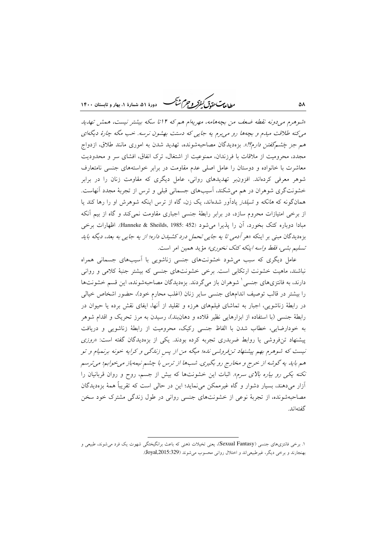يطابع تحقدق كنفركه وجرم شجم -<br>۷- دورهٔ ۵۱، شمارهٔ ۱، بهار و تابستان ۱۴۰۰

«شوهرم می دونه نقطه ضعف من بچههامه، مهریهام هم که ۱۴تا سکه بیشتر نیست، همش تهدید می کنه طلاقت میدم و بچهها رو می برم به جایی که دستت بهشون نرسه. خب مگه چارهٔ دیگهای هم *جز چَشمگفتن دارم؟!*». بزهدیدگان مصاحبهشونده، تهدید شدن به اموری مانند طلاق، ازدواج مجدد، محرومیت از ملاقات با فرزندان، ممنوعیت از اشتغال، ترک انفاق، افشای سر و محدودیت معاشرت با خانواده و دوستان را عامل اصلی عدم مقاومت در برابر خواستههای جنسی نامتعارف شوهر معرفی کردهاند. افزونبر تهدیدهای روانی، عامل دیگری که مقاومت زنان را در برابر خشونتگری شوهران در هم میشکند، آسیبهای جسمانی قبلی و ترس از تجربهٔ مجدد آنهاست. همانگونه که *هانکه و شیلدز* یادآور شدهاند، یک زن، گاه از ترس اینکه شوهرش او را رها کند یا از برخی امتیازات محروم سازد، در برابر رابطهٔ جنسی اجباری مقاومت نمی کند و گاه از بیم آنکه مبادا دوباره كتك بخورد، آن را يذيرا مي شود (Hanneke & Sheilds, 1985: 452). اظهارات برخي بزهدیدگان مبنی بر اینکه «هر *آدمی تا یه جایی تحمل درد کشیدن داره؛ از یه جایی به بعد، دیگه باید* تسليم بشي، فقط *واسه اينكه كتك نخوري»* مؤيد همين امر است.

عامل دیگری که سبب میشود خشونتهای جنسی زناشویی با آسیبهای جسمانی همراه نباشند، ماهیت خشونت ارتکابی است. برخی خشونتهای جنسی که بیشتر جنبهٔ کلامی و روانی دارند، به فانتزیهای جنسی ٔ شوهران باز میگردند. بزهدیدگان مصاحبهشونده، این قسم خشونتها را بیشتر در قالب توصیف اندامهای جنسی سایر زنان (اغلب محارم خود)، حضور اشخاص خیالی در رابطهٔ زناشویی، اجبار به تماشای فیلمهای هرزه و تقلید از آنها، ایفای نقش برده یا حیوان در رابطهٔ جنسی (با استفاده از ابزارهایی نظیر قلاده و دهان(بند)، رسیدن به مرز تحریک و اقدام شوهر به خودارضایی، خطاب شدن با الفاظ جنسی رکیک، محرومیت از رابطهٔ زناشویی و دریافت پیشنهاد تنفروشی یا روابط ضربدری تجربه کرده بودند. یکی از بزهدیدگان گفته است: «روزی نیست که شوهرم بهم پیشنهاد تن فروشی نده؛ میگه من از پس زندگی و کرایه خونه برنمیام و تو هم باید یه گوشه از خرج و مخارج رو بگیری. شبها از ترس با چشم نیمهباز میخوابم؛ میترسم نکنه یکی رو بیاره بالای سرم». اثبات این خشونتها که بیش از جسم، روح و روان قربانیان را آزار میدهند، بسیار دشوار و گاه غیرممکن می نماید؛ این در حال<sub>ی</sub> است که تقریباً همهٔ بزهدیدگان مصاحبهشونده، از تجربهٔ نوعی از خشونتهای جنسی روانی در طول زندگی مشترک خود سخن گفتهاند

۵٨

۱. برخی فانتزی،های جنسی (Sexual Fantasy)، یعنی تخیلات ذهنی که باعث برانگیختگی شهوت یک فرد می شوند، طبیعی و بهنجارند و برخی دیگر، غیرطبیعیاند و اختلال روانی محسوب میشوند (Joyal,2015:329).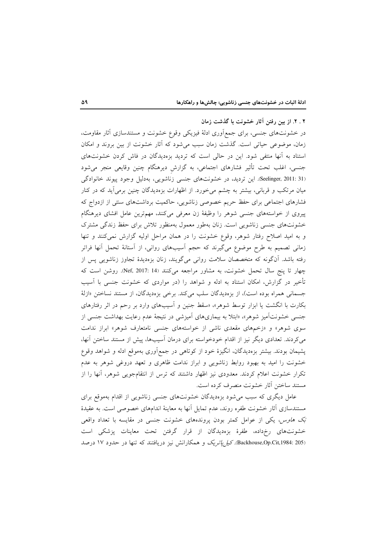۲ . ۲. از بین رفتن آثار خشونت با گذشت زمان در خشونتهای جنسی، برای جمع آوری ادلهٔ فیزیکی وقوع خشونت و مستندسازی آثار مقاومت، زمان، موضوعی حیاتی است. گذشت زمان سبب می شود که آثار خشونت از بین بروند و امکان استناد به آنها منتفی شود. این در حالی است که تردید بزهدیدگان در فاش کردن خشونتهای جنسی، اغلب تحت تأثیر فشارهای اجتماعی، به گزارش دیرهنگام چنین وقایعی منجر میشود (Seelinger, 2011: 31). این تردید، در خشونتهای جنسی زناشویی، بهدلیل وجود پیوند خانوادگی میان مرتکب و قربانی، بیشتر به چشم میخورد. از اظهارات بزهدیدگان چنین برمیآید که در کنار فشارهای اجتماعی برای حفظ حریم خصوصی زناشویی، حاکمیت برداشتهای سنتی از ازدواج که پیروی از خواستههای جنسی شوهر را وظیفهٔ زن معرفی میکنند، مهمترین عامل افشای دیرهنگام خشونتهای جنسی زناشویی است. زنان بهطور معمول بهمنظور تلاش برای حفظ زندگی مشترک و به امید اصلاح رفتار شوهر، وقوع خشونت را در همان مراحل اولیه گزارش نمیکنند و تنها زمانی تصمیم به طرح موضوع میگیرند که حجم آسیبهای روانی، از آستانهٔ تحمل آنها فراتر رفته باشد. آنگونه که متخصصان سلامت روانی میگویند، زنان بزهدیدهٔ تجاوز زناشویی پس از چهار تا پنج سال تحمل خشونت، به مشاور مراجعه میکنند (Nef, 2017: 14. روشن است که تأخیر در گزارش، امکان استناد به ادله و شواهد را (در مواردی که خشونت جنسی با آسیب جسمانی همراه بوده است)، از بزهدیدگان سلب میکند. برخی بزهدیدگان، از مستند نساختن «ازلهٔ بکارت با انگشت یا ابزار توسط شوهر»، «سقط جنین و آسیبهای وارد بر رحم در اثر رفتارهای جنسی خشونتآمیز شوهر»، «ابتلا به بیماریهای آمیزشی در نتیجهٔ عدم رعایت بهداشت جنسی از سوی شوهر» و «زخمهای مقعدی ناشی از خواستههای جنسی نامتعارف شوهر» ابراز ندامت می کردند. تعدادی دیگر نیز از اقدام خودخواسته برای درمان آسیبها، پیش از مستند ساختن آنها، پشیمان بودند. بیشتر بزهدیدگان، انگیزهٔ خود از کوتاهی در جمع|َوری بهموقع ادله و شواهد وقوع خشونت را امید به بهبود روابط زناشویی و ابراز ندامت ظاهری و تعهد دروغی شوهر به عدم تکرار خشونت اعلام کردند. معدودی نیز اظهار داشتند که ترس از انتقامجویی شوهر، آنها را از مستند ساختن آثار خشونت منصرف کرده است.

عامل دیگری که سبب میشود بزهدیدگان خشونتهای جنسی زناشویی از اقدام بهموقع برای مستندسازی آثار خشونت طفره روند، عدم تمایل آنها به معاینهٔ اندامهای خصوصی است. به عقیدهٔ بَک *هاوس، یکی از عوامل کمتر بودن پروندههای خشونت جنسی در مقایسه با تعداد واقعی* خشونتهای رخ داده، طفرهٔ بزهدیدگان از قرار گرفتن تحت معاینات پزشکی است (Backhouse,Op.Cit,1984: 205). كيا ياتريك و همكارانش نيز دريافتند كه تنها در حدود ١٧ درصد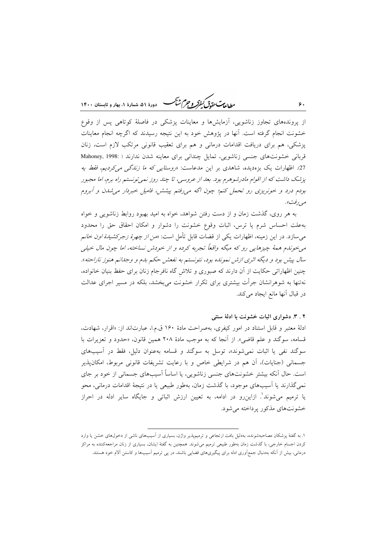مطالعات حقدق كنفركه وحرم شيحر .<br>` دورهٔ ۵۱، شمارهٔ ۱، بهار و تابستان ۱۴۰۰

از پروندههای تجاوز زناشویی، آزمایشها و معاینات پزشکی در فاصلهٔ کوتاهی پس از وقوع خشونت انجام گرفته است. آنها در پژوهش خود به این نتیجه رسیدند که اگرچه انجام معاینات یزشکی، هم برای دریافت اقدامات درمانی و هم برای تعقیب قانونی مرتکب لازم است، زنان قربانی خشونتهای جنسی زناشویی، تمایل چندانی برای معاینه شدن ندارند ( :Mahoney, 1998 27. اظهارات یک بزهدیده، شاهدی بر این مدعاست: «*روستایی که ما زندگی میکردیم، فقط یه* یزشک داشت که از اقوام مادرشوهرم بود. بعد از عروسی، تا چند روز نمی تونستم راه برم، اما مجبور بودم درد و خونریزی رو تحمل کنم؛ چون اگه می رفتم پیشش، فامیل خبردار می شدن و آبروم مې رفت».

به هر روی، گذشت زمان و از دست رفتن شواهد، خواه به امید بهبود روابط زناشویی و خواه بهعلت احساس شرم یا ترس، اثبات وقوع خشونت را دشوار و امکان احقاق حق را محدود می سازد. در این زمینه، اظهارات یکی از قضات قابل تأمل است: «*من از چهرهٔ زجرکشیدهٔ اون خان*م می خوندم همهٔ چیزهایی رو که میگه واقعاً تجربه کرده و از خودش نساخته، اما چون مال خیلی سال پیش بود و دیگه اثری ازش نمونده بود، نتونستم به نفعش حکم بدم و وجدانم هنوز ناراحته». چنین اظهاراتی حکایت از آن دارند که صبوری و تلاش گاه نافرجام زنان برای حفظ بنیان خانواده، نهتنها به شوهرانشان جرأت بیشتری برای تکرار خشونت می بخشد، بلکه در مسیر اجرای عدالت در قبال أنها مانع ايجاد مي كند.

۲ . ۳ . دشواری اثبات خشونت با ادلهٔ سنتی

ادلهٔ معتبر و قابل استناد در امور کیفری، بهصراحت مادهٔ ۱۶۰ ق.م.ا، عبارتاند از: «اقرار، شهادت، قسامه، سوگند و علم قاضی». از آنجا که به موجب مادهٔ ۲۰۸ همین قانون، «حدود و تعزیرات با سوگند نفی یا اثبات نمی شوند»، توسل به سوگند و قسامه بهعنوان دلیل، فقط در آسیبهای جسمانی (جنایات)، آن هم در شرایطی خاص و با رعایت تشریفات قانونی مربوط، امکانپذیر است. حال اَنکه بیشتر خشونتهای جنسی زناشویی، یا اساساً اَسیبهای جسمانی از خود بر جای نمی گذارند یا آسیبهای موجود، با گذشت زمان، بهطور طبیعی یا در نتیجهٔ اقدامات درمانی، محو یا ترمیم می شوند'. ازاین رو در ادامه، به تعیین ارزش اثباتی و جایگاه سایر ادله در احراز خشونتهای مذکور پرداخته می شود.

 $\zeta$ .

۱. به گفتهٔ پزشکان مصاحبهشونده، بهدلیل بافت ارتجاعی و ترمیمپذیر واژن، بسیاری از آسیبهای ناشی از دخولهای خشن یا وارد کردن اجسام خارجی، با گذشت زمان بهطور طبیعی ترمیم میشوند. همچنین به گفتهٔ ایشان، بسیاری از زنان مراجعهکننده به مراکز درمانی، بیش از آنکه بهدنبال جمعآوری ادله برای پیگیریهای قضایی باشند، در پی ترمیم آسیبها و کاستن آلام خود هستند.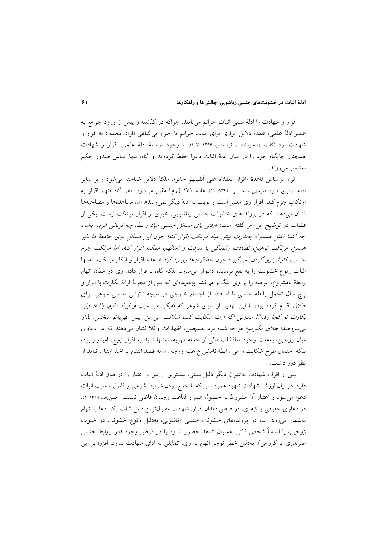اقرار و شهادت را ادلهٔ سنتی اثبات جرائم می نامند، چراکه در گذشته و پیش از ورود جوامع به عصر ادلهٔ علمی، عمده دلایل ابرازی برای اثبات جرائم یا احراز بیگناهی افراد، محدود به اقرار و شهادت بود (گلدوست جویباری و فرهنمدفر، ۱۳۹۶: ۲۰۷). با وجود توسعهٔ ادلهٔ علمی، اقرار و شهادت همچنان جایگاه خود را در میان ادلهٔ اثبات دعوا حفظ کردهاند و گاه، تنها اساس صدور حکم بەشمار مىروند.

اقرار براساس قاعدهٔ «اقرار العقلاء على أنفسهم جايز»، ملكهٔ دلايل شناخته مى شود و بر ساير ادله برتری دارد (توجهی و حسینی، ۱۳۹۲: ۱۱). مادهٔ ۱۷۱ ق.م.ا مقرر میدارد: «هر گاه متهم اقرار به ارتکاب جرم کند، اقرار وی معتبر است و نوبت به ادلهٔ دیگر نمی رسد». اما، مشاهدهها و مصاحبهها نشان میدهند که در پروندههای خشونت جنسی زناشویی، خبری از اقرار مرتکب نیست. یکی از قضات در توضيح اين امر گفته است: *«وفتي ياي مسائل جنسي مياد وسط، چه قرباني غريبه باشه*، چه آشنا (مثل همسر)، بهندرت پیش میاد مرتکب اقرار کنه؛ چون این مسائل توی جامعهٔ ما تابو هستين. مرتكب توهين، تصادف رانندگي يا سرقت و امثالهم، ممكنه اقرار كنه، اما مرتكب جرم جنس*تی، کارش رو گردن نمی گیره؛ چون خط قرمزها رو رد کرده». عدم اقرار و انکار مرتکب، نه تنها* اثبات وقوع خشونت را به نفع بزهديده دشوار مىسازد، بلكه گاه، با قرار دادن وى در مظان اتهام رابطهٔ نامشروع، عرصه را بر وی تنگتر میکند. بزهدیدهای که پس از تجربهٔ ازالهٔ بکارت با ابزار و پنج سال تحمل رابطهٔ جنسی با استفاده از اجسام خارجی در نتیجهٔ ناتوانی جنسی شوهر، برای طلاق اقدام کرده بود، با این تهدید از سوی شوهر که «*میگی من عیب و ایراد دارم، باشه؛ ولی* بكارت تو كجا رفته؟! ميدوني اگه ازت شكايت كنم، شلاقت مي زنن. پس مهريةتو ببخش، بذار بر سروصد اطلاق بگیریم» مواجه شده بود. همچنین، اظهارات وكلا نشان می دهند كه در دعاوى میان زوجین، بهعلت وجود مناقشات مالی از جمله مهریه، نهتنها نباید به اقرار زوج، امیدوار بود، بلكه احتمال طرح شكايت واهى رابطة نامشروع عليه زوجه را، به قصد انتقام يا اخذ امتياز، نبايد از نظر دور داشت.

پس از اقرار، شهادت بهعنوان دیگر دلیل سنتی، بیشترین ارزش و اعتبار را در میان ادلهٔ اثبات دارد. در بیان ارزش شهادت شهود همین بس که با جمع بودن شرایط شرعی و قانونی، سبب اثبات دعوا میشود و اعتبار آن مشروط به حصول علم و قناعت وجدان قاضی نیست (حسززاده، ۱۳۹۹: ۲). در دعاوی حقوقی و کیفری، در فرض فقدان اقرار، شهادت مقبول ترین دلیل اثبات یک ادعا یا اتهام بهشمار میرود. اما، در پروندههای خشونت جنسی زناشویی، بهدلیل وقوع خشونت در خلوت زوجین، یا اساساً شخص ثالثی بهعنوان شاهد حضور ندارد یا در فرض وجود (در روابط جنسی ضربدری یا گروهی)، بهدلیل خطر توجهِ اتهام به وی، تمایلی به ادای شهادت ندارد. افزون بر این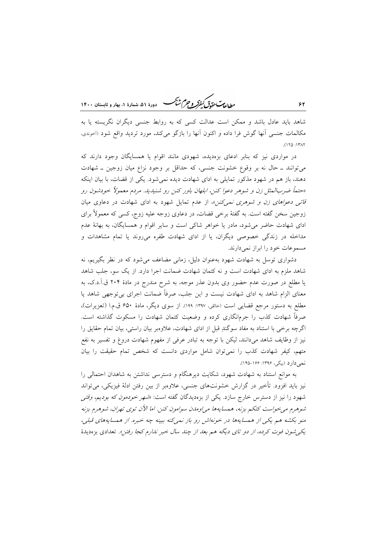ر ...<br>ر<u>طالعاس متمامی کمفرکر و جرم شنگ</u> هست دورهٔ ۵۱، شمارهٔ ۱، بهار و تابستان ۱۴۰۰

شاهد باید عادل باشد و ممکن است عدالت کسی که به روابط جنسی دیگران نگریسته یا به مکالمات جنسی آنها گوش فرا داده و اکنون آنها را بازگو میکند، مورد تردید واقع شود (اَخوندی،  $(150.15)$ 

در مواردی نیز که بنابر ادعای بزهدیده، شهودی مانند اقوام یا همسایگان وجود دارند که میتوانند ـ حال نه بر وقوع خشونت جنسی، که حداقل بر وجود نزاع میان زوجین ـ شهادت دهند، باز هم در شهود مذکور تمایلی به ادای شهادت دیده نمی شود. یکی از قضات، با بیان اینکه «حتماً ضربالمثل زن و شوهر دعوا كنن، ابلهان باور كنن رو شنيديد. مردم معمولاً خودشون رو قاتر دعواهای زن و شوهری نمرکنن»، از عدم تمایل شهود به ادای شهادت در دعاوی میان زوجین سخن گفته است. به گفتهٔ برخی قضات، در دعاوی زوجه علیه زوج، کسی که معمولاً برای ادای شهادت حاضر می شود، مادر یا خواهر شاکی است و سایر اقوام و همسایگان، به بهانهٔ عدم مداخله در زندگی خصوصی دیگران، یا از ادای شهادت طفره می روند یا تمام مشاهدات و مسموعات خود را ابراز نمی دارند.

دشواری توسل به شهادت شهود بهعنوان دلیل، زمانی مضاعف می شود که در نظر بگیریم، نه شاهد ملزم به ادای شهادت است و نه کتمان شهادت ضمانت اجرا دارد. از یک سو، جلب شاهد یا مطلع در صورت عدم حضور وی بدون عذر موجه، به شرح مندرج در مادهٔ ۲۰۴ ق.آ.د.ک، به معنای الزام شاهد به ادای شهادت نیست و این جلب، صرفاً ضمانت اجرای بیتوجهی شاهد یا مطلع به دستور مرجع قضایی است (حالقی، ۱۳۹۷: ۱۹۹). از سوی دیگر، مادهٔ ۶۵۰ ق.م.ا (تعزیرات)، صرفاً شهادت کذب را جرمانگاری کرده و وضعیت کتمان شهادت را مسکوت گذاشته است. اگرچه برخی با استناد به مفاد سوگندِ قبل از ادای شهادت، علاوهبر بیان راستی، بیان تمام حقایق را نیز از وظایف شاهد میدانند، لیکن با توجه به تبادر عرفی از مفهوم شهادت دروغ و تفسیر به نفع متهم، کیفر شهادت کذب را نمیتوان شامل مواردی دانست که شخص تمام حقیقت را بیان نمي دارد (بيگي، ۱۳۹۶: ۱۶۶-۱۴۵).

به موانع استناد به شهادت شهود، شکایت دیرهنگام و دسترسی نداشتن به شاهدان احتمالی را نیز باید افزود. تأخیر در گزارش خشونتهای جنسی، علاوهبر از بین رفتن ادلهٔ فیزیکی، میتواند شهود را نیز از دسترس خارج سازد. یکی از بزهدیدگان گفته است: «*شهر خودمون که بودیم، وقتی* شوهرم می خواست کتکم بزنه، همسایهها می[وملان سوامون کنن. اما الآن توی تهران، شوهرم بزنه منو بکشه هم یکی از همسایهها در خونهاش رو باز نمیکنه ببینه چه خبره. از همسایههای قبلی، یکه شون فوت کرده، از دو تای دیگه هم بعد از چند سال خبر ندارم کجا رفتن». تعدادی بزهدیدهٔ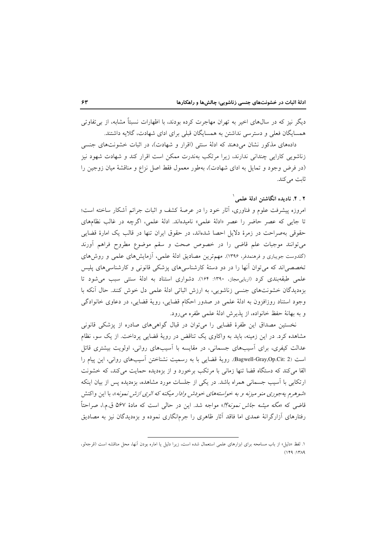دیگر نیز که در سال۵مای اخیر به تهران مهاجرت کرده بودند، با اظهارات نسبتاً مشابه، از بی تفاوتی همسایگان فعلی و دسترسی نداشتن به همسایگان قبلی برای ادای شهادت، گلایه داشتند.

دادههای مذکور نشان میدهند که ادلهٔ سنتی (اقرار و شهادت)، در اثبات خشونتهای جنسی زناشویی کارایی چندانی ندارند، زیرا مرتکب بهندرت ممکن است اقرار کند و شهادت شهود نیز (در فرض وجود و تمایل به ادای شهادت)، بهطور معمول فقط اصل نزاع و مناقشهٔ میان زوجین را ثابت مے کند.

#### ۲ . ۴. نادیده انگاشتن ادلهٔ علمی ۱

امروزه پیشرفت علوم و فناوری، أثار خود را در عرصهٔ کشف و اثبات جرائم أشکار ساخته است؛ تا جای<sub>بی</sub> که عصر حاضر را عصر «ادلهٔ علمی» نامیدهاند. ادلهٔ علمی، اگرچه در غالب نظامهای حقوقی بهصراحت در زمرهٔ دلایل احصا شدهاند، در حقوق ایران تنها در قالب یک امارهٔ قضایی میتوانند موجبات علم قاضی را در خصوص صحت و سقم موضوع مطروح فراهم أورند (گلدوست جویباری و فرهنمدفر، ۱۳۹۶). مهم ترین مصادیق ادلهٔ علمی، آزمایش۵های علمی و روش۱های تخصصی!ند که می توان آنها را در دو دستهٔ کارشناسیهای پزشکی قانونی و کارشناسیهای پلیس علمی طبقهبندی کرد (اربابی مجاز، ۱۳۹۰: ۱۶۴). دشواری استناد به ادلهٔ سنتی سبب می شود تا بزهدیدگان خشونتهای جنسی زناشویی، به ارزش اثباتی ادلهٔ علمی دل خوش کنند. حال أنکه با وجود استناد روزافزون به ادلهٔ علمی در صدور احکام قضایی، رویهٔ قضایی، در دعاوی خانوادگی و به بهانهٔ حفظ خانواده، از پذیرش ادلهٔ علمی طفره میرود.

نخستین مصداق این طفرهٔ قضایی را می توان در قبال گواهی های صادره از پزشکی قانونی مشاهده کرد. در این زمینه، باید به واکاوی یک تناقض در رویهٔ قضایی پرداخت. از یک سو، نظام عدالت کیفری، برای آسیبهای جسمانی، در مقایسه با آسیبهای روانی، اولویت بیشتری قائل است (Bagwell-Gray,Op.Cit: 2). رويهٔ قضايي با به رسميت نشناختن آسيبهاي رواني، اين پيام را القا می کند که دستگاه قضا تنها زمانی با مرتکب برخورد و از بزهدیده حمایت می کند، که خشونت ارتکابی با اَسیب جسمانی همراه باشد. در یکی از جلسات مورد مشاهده، بزهدیده پس از بیان اینکه «شوهرم يه جوري منو ميزنه و به خواستههاي خودش وادار ميكنه كه اثري ازش نمونه»، با اين واكنش قاضی که «مگه م*یشه جاش نمونه؟!*» مواجه شد. این در حال<sub>ی</sub> است که مادهٔ ۵۶۷ ق.م.ا، صراحتاً رفتارهای آزارگرانهٔ عمدی اما فاقد آثار ظاهری را جرمانگاری نموده و بزهدیدگان نیز به مصادیق

۱. لفظ «دلیل» از باب مسامحه برای ابزارهای علمی استعمال شده است، زیرا دلیل یا اماره بودن آنها، محل مناقشه است (قرجهلو،  $(149:14)$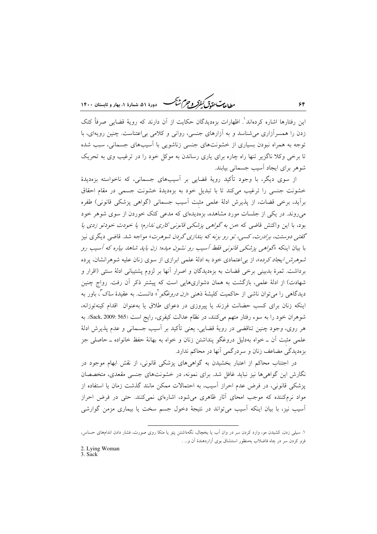يطالعات حقوق كنفركه وحجرم شيحم - دورهٔ ۵۱، شمارهٔ ۱، بهار و تابستان ۱۴۰۰

این رفتارها اشاره کردهاند'. اظهارات بزهدیدگان حکایت از آن دارند که رویهٔ قضایی صرفاً کتک زدن را همسرآزاری میشناسد و به آزارهای جنسی، روانی و کلامی بی|عتناست. چنین رویهای، با توجه به همراه نبودن بسیاری از خشونتهای جنسی زناشویی با آسیبهای جسمانی، سبب شده تا برخی وکلا ناگزیر تنها راه چاره برای یاری رساندن به موکل خود را در ترغیب وی به تحریک شوهر برای ایجاد آسیب جسمانی بیابند.

از سوی دیگر، با وجود تأکید رویهٔ قضایی بر آسیبهای جسمانی، که ناخواسته بزهدیدهٔ خشونت جنسی را ترغیب می کند تا با تبدیل خود به بزهدیدهٔ خشونت جسمی در مقام احقاق برآید، برخی قضات، از پذیرش ادلهٔ علمی مثبت آسیب جسمانی (گواهی پزشکی قانونی) طفره میروند. در یکی از جلسات مورد مشاهده، بزهدیدهای که مدعی کتک خوردن از سوی شوهر خود بود، با این واکنش قاضی که «*من به گواهی پزشکی قانونی کاری ندارم؛ یا خودت خودتو زدی یا* گفته روستت، برادرت، کسه ، تو رو بزنه که بندازی گردن شوهرت» مواجه شد. قاضی دیگری نیز با بیان اینکه «گولهبی یزشکبی قا*نونبی فقط آسیب رو نشون میده؛ زن باید شاهد بیاره که آسیب رو شوهرش ایجاد کرده»*، از بی|عتمادی خود به ادلهٔ علمی ابرازی از سوی زنان علیه شوهرانشان، پرده برداشت. ثمرهٔ بدبینی برخی قضات به بزهدیدگان و اصرار آنها بر لزوم پشتیبانی ادلهٔ سنتی (اقرار و شهادت) از ادلهٔ علمی، بازگشت به همان دشواریهایی است که پیشتر ذکر آن رفت. رواج چنین دیدگاهی را می توان ناشی از حاکمیت کلیشهٔ ذهن<sub>ی «</sub>*زن دروغگو*"» دانست. به عقیدهٔ *ساک"،* باور به اینکه زنان برای کسب حضانت فرزند یا پیروزی در دعوای طلاق یا بهعنوان اقدام کینهتوزانه، شوهران خود را به سوء رفتار متهم می کنند، در نظام عدالت کیفری، رایج است (565 :Sack, 2009). به هر روي، وجود چنين تناقضي در رويهٔ قضايي، يعني تأكيد بر آسيب جسماني و عدم يذيرش ادلهٔ علمی مثبت اّن ــ خواه بهدلیل دروغگو پنداشتن زنان و خواه به بهانهٔ حفظ خانواده ــ حاصلی جز بزهديدگي مضاعف زنان و سردرگمي آنها در محاكم ندارد.

در اجتناب محاکم از اعتبار بخشیدن به گواهیهای پزشکی قانونی، از نقش ابهام موجود در نگارش این گواهیها نیز نباید غافل شد. برای نمونه، در خشونتهای جنسی مقعدی، متخصصان یزشکی قانونی، در فرض عدم احراز آسیب، به احتمالات ممکن مانند گذشت زمان یا استفاده از مواد نرمکننده که موجب امحای آثار ظاهری میشود، اشارهای نمیکنند. حتی در فرض احراز آسیب نیز، با بیان اینکه آسیب می تواند در نتیجهٔ دخول جسم سخت یا بیماری مزمن گوارشی

 $56$ 

۱. سیلی زدن، کشیدن مو، وارد کردن سر در وان آب یا پخچال، نگهداشتن پتو یا متکا روی صورت، فشار دادن اندامهای حساس، فرو کردن سر در چاه فاضلاب بهمنظور استنشاق بوی ازاردهندهٔ اَن و... .

<sup>2.</sup> Lying Woman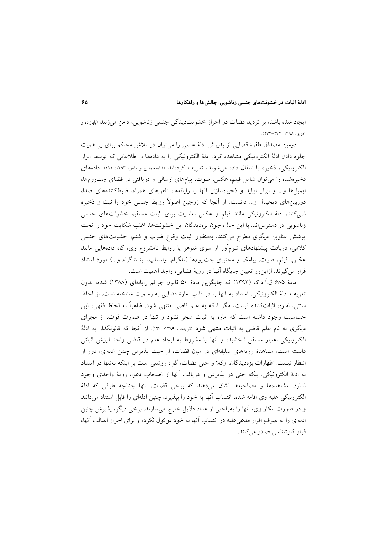ایجاد شده باشد، بر تردید قضات در احراز خشونتدیدگی جنسی زناشویی، دامن میزنند (بابازاده و آذري، ١٣٩٨: ٢٧٣-٢٧٣).

دومین مصداق طفرهٔ قضایی از پذیرش ادلهٔ علمی را میتوان در تلاش محاکم برای بی|همیت جلوه دادن ادلهٔ الکترونیکی مشاهده کرد. ادلهٔ الکترونیکی را به دادهها و اطلاعاتی که توسط ابزار الکترونیکی، ذخیره یا انتقال داده می شوند، تعریف کردهاند (شاه حمدی و تاهو، ۱۳۹۳: ١١١). دادههای ذخیرهشده را می توان شامل فیلم، عکس، صوت، پیامهای ارسالی و دریافتی در فضای چت رومها، ایمیلها و... و ابزار تولید و ذخیرهسازی آنها را رایانهها، تلفنهای همراه، ضبط کنندههای صدا، دوربینِهای دیجیتال و… دانست. از اّنجا که زوجین اصولاً روابط جنسی خود را ثبت و ذخیره نمی کنند، ادلهٔ الکترونیکی مانند فیلم و عکس بهندرت برای اثبات مستقیم خشونتهای جنسی زناشویی در دسترس اند. با این حال، چون بزهدیدگان این خشونتها، اغلب شکایت خود را تحت پوشش عناوین دیگری مطرح میکنند، بهمنظور اثبات وقوع ضرب و شتم، خشونتهای جنسی کلامی، دریافت پیشنهادهای شرمآور از سوی شوهر یا روابط نامشروع وی، گاه دادههایی مانند عکس، فیلم، صوت، پیامک و محتوای چت رومها (تلگرام، واتساپ، اینستاگرام و…) مورد استناد قرار می گیرند. ازاین رو تعیین جایگاه آنها در رویهٔ قضایی، واجد اهمیت است.

مادهٔ ۶۸۵ ق.آ.د.ک (۱۳۹۲) که جایگزین مادهٔ ۵۰ قانون جرائم رایانهای (۱۳۸۸) شده، بدون تعریف ادلهٔ الکترونیکی، استناد به أنها را در قالب امارهٔ قضایی به رسمیت شناخته است. از لحاظ سنتی، اماره، اثباتکننده نیست، مگر آنکه به علم قاضی منتهی شود. ظاهراً به لحاظ فقهی، این حساسیت وجود داشته است که اماره به اثبات منجر نشود و تنها در صورت قوت، از مجرای دیگری به نام علم قاضی به اثبات منتهی شود (قرجهلو، ۱۳۸۹: ۱۳۰). از آنجا که قانونگذار به ادلهٔ الكترونيكي اعتبار مستقل نبخشيده و آنها را مشروط به ايجاد علم در قاضي واجد ارزش اثباتي دانسته است، مشاهدهٔ رویههای سلیقهای در میان قضات، از حیث پذیرش چنین ادلهای، دور از انتظار نیست. اظهارات بزهدیدگان، وکلا و حتی قضات، گواه روشنی است بر اینکه نهتنها در استناد به ادلهٔ الکترونیکی، بلکه حتی در پذیرش و دریافت آنها از اصحاب دعوا، رویهٔ واحدی وجود ندارد. مشاهدهها و مصاحبهها نشان می دهند که برخی قضات، تنها چنانچه طرفی که ادلهٔ الکترونیکی علیه وی اقامه شده، انتساب أنها به خود را بپذیرد، چنین ادلهای را قابل استناد میدانند و در صورت انکار وی، آنها را بهراحتی از عداد دلایل خارج میسازند. برخی دیگر، پذیرش چنین ادلهای را به صرف اقرار مدعی علیه در انتساب آنها به خود موکول نکرده و برای احراز اصالت آنها، قرار كارشناسي صادر مي كنند.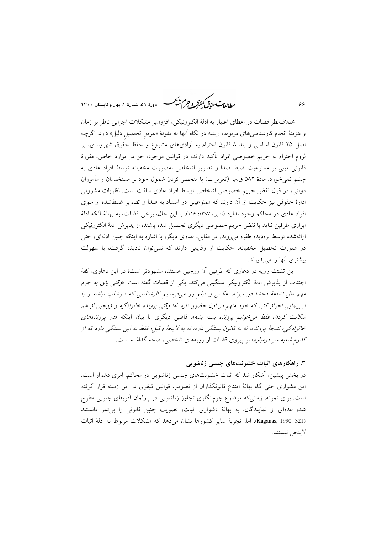ر ...<br>ر<u>طالعاس متمامی کمفرکر و جر</u>م کشتگ مستقره ۵۱ شعادهٔ ۱، بعاد و تابستان ۱۴۰۰

اختلاف نظر قضات در اعطای اعتبار به ادلهٔ الکترونیکی، افزون بر مشکلات اجرایی ناظر بر زمان و هزینهٔ انجام کارشناسیهای مربوط، ریشه در نگاه آنها به مقولهٔ «طریق تحصیل دلیل» دارد. اگرچه اصل ۲۵ قانون اساسی و بند ۸ قانون احترام به آزادیهای مشروع و حفظ حقوق شهروندی، بر لزوم احترام به حریم خصوصی افراد تأکید دارند، در قوانین موجود، جز در موارد خاص، مقررهٔ قانونی مبنی بر ممنوعیت ضبط صدا و تصویر اشخاص بهصورت مخفیانه توسط افراد عادی به چشم نمیخورد. مادهٔ ۵۸۲ ق.م.ا (تعزیرات) با منحصر کردن شمول خود بر مستخدمان و مأموران دولتي، در قبال نقض حريم خصوصي اشخاص توسط افراد عادي ساكت است. نظريات مشورتي ادارهٔ حقوقی نیز حکایت از آن دارند که ممنوعیتی در استناد به صدا و تصویر ضبطشده از سوی افراد عادي در محاكم وجود ندارد (تدين، ١٣٨٧: ١١۶). با اين حال، برخي قضات، به بهانة آنكه ادلة ابرازي طرفين نبايد با نقض حريم خصوصي ديگري تحصيل شده باشند، از يذيرش ادلهٔ الكترونيكي ارائهشده توسط بزهدیده طفره میرووند. در مقابل، عدهای دیگر، با اشاره به اینکه چنین ادلهای، حتی در صورت تحصیل مخفیانه، حکایت از وقایعی دارند که نمی توان نادیده گرفت، با سهولت بیشتری آنها را میپذیرند.

این تشتت رویه در دعاوی که طرفین آن زوجین هستند، مشهودتر است؛ در این دعاوی، کفهٔ اجتناب از پذیرش ادلهٔ الکترونیکی سنگینی میکند. یکی از قضات گفته است: «*وقتی یای یه جر*م مهم مثل اشاعهٔ فحشا در میونه، عکس و فیلم رو میفرستیم کارشناسی که فتوشاپ نباشه و با تن پیمایی احراز کنن که خود متهم در اون حضور داره. اما وقتی پرونده خانوادگیه و زوجین از هم شکایت کردن، فقط می خوایم پرونده بسته بشه». قاضی دیگری با بیان اینکه «در پروندههای خانوادگی، نتیجهٔ پرونده، نه به قانون بستگی داره، نه به لا یحهٔ وکیل؛ فقط به این بستگی داره که از ک*دوم شعبه سر درمیاره*» بر پیروی قضات از رویههای شخصی، صحه گذاشته است.

#### ۳. راهکارهای اثبات خشونتهای جنسی زناشویی

در بخش پیشین، اَشکار شد که اثبات خشونتهای جنسی زناشویی در محاکم، امری دشوار است. این دشواری حتبی گاه بهانهٔ امتناع قانونگذاران از تصویب قوانین کیفری در این زمینه قرار گرفته است. برای نمونه، زمانی که موضوع جرمانگاری تجاوز زناشویی در پارلمان أفریقای جنوبی مطرح شد، عدهای از نمایندگان، به بهانهٔ دشواری اثبات، تصویب چنین قانونی را بی ثمر دانستند (Kaganas, 1990: 321). اما، تجربهٔ سایر کشورها نشان می دهد که مشکلات مربوط به ادلهٔ اثبات لاينحل نيستند.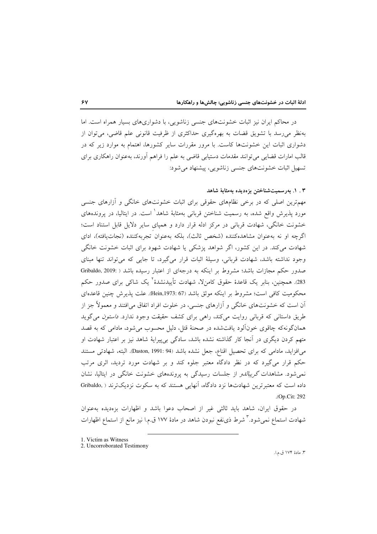در محاکم ایران نیز اثبات خشونتهای جنسی زناشویی، با دشواریهای بسیار همراه است. اما بهنظر می رسد با تشویق قضات به بهرهگیری حداکثری از ظرفیت قانونی علم قاضی، می توان از دشواری اثبات این خشونتها کاست. با مرور مقررات سایر کشورها، اهتمام به موارد زیر که در قالب امارات قضایی می توانند مقدمات دستیابی قاضی به علم را فراهم آورند، بهعنوان راهکاری برای تسهیل اثبات خشونتهای جنسی زناشویی، پیشنهاد می شود:

# ۳ . ۱. بەرسمىتشناختىن بزەديدە بەمثابة شاھد

مهمترین اصلی که در برخی نظامهای حقوقی برای اثبات خشونتهای خانگی و آزارهای جنسی مورد پذیرش واقع شده، به رسمیت شناختن قربانی بهمثابهٔ شاهد<sup>\</sup> است. در ایتالیا، در پروندههای خشونت خانگی، شهادت قربانی در مرکز ادله قرار دارد و همپای سایر دلایل قابل استناد است؛ اگرچه او نه بهعنوان مشاهدهکننده (شخص ثالث)، بلکه بهعنوان تجربهکننده (نجاتیافته)، ادای شهادت می کند. در این کشور، اگر شواهد پزشکی یا شهادت شهود برای اثبات خشونت خانگی وجود نداشته باشد، شهادت قربانی، وسیلهٔ اثبات قرار میگیرد، تا جایی که می تواند تنها مبنای صدور حکم مجازات باشد؛ مشروط بر اینکه به درجهای از اعتبار رسیده باشد ( :Gribaldo, 2019 283). همچنین، بنابر یک قاعدهٔ حقوق کامن{\، شهادت تأییدنشدهٔ<sup>۲</sup> یک شاک<sub>ی</sub> برای صدور حکم محکومیت کافی است؛ مشروط بر اینکه موثق باشد (Hein,1973: 67). علت پذیرش چنین قاعدهای آن است که خشونتهای خانگی و آزارهای جنسی، در خلوت افراد اتفاق میافتند و معمولاً جز از طریق داستانی که قربانی روایت میکند، راهی برای کشف حقیقت وجود ندارد. *داستون می گ*وید همانگونهکه چاقوی خونآلود یافتشده در صحنهٔ قتل، دلیل محسوب میشود، مادامی که به قصد متهم کردن دیگری در آنجا کار گذاشته نشده باشد، سادگی بیپیرایهٔ شاهد نیز بر اعتبار شهادت او می|فزاید، مادامی که برای تحصیل اقناع، جعل نشده باشد (Daston, 1991: 94). البته، شهادتی مستند حکم قرار میگیرد که در نظر دادگاه معتبر جلوه کند و بر شهادت مورد تردید، اثری مرتب نمی شود. مشاهدات *گریبالدو* از جلسات رسیدگی به پروندههای خشونت خانگی در ایتالیا، نشان داده است که معتبرترین شهادتها نزد دادگاه، آنهایی هستند که به سکوت نزدیکترند ( .Gribaldo .(Op.Cit: 292

در حقوق ایران، شاهد باید ثالثی غیر از اصحاب دعوا باشد و اظهارات بزهدیده بهعنوان شهادت استماع نمیشود. تشرط ذی نفع نبودن شاهد در مادهٔ ۱۷۷ ق.م.ا نیز مانع از استماع اظهارات

٣. مادة ١٧۴ ق.م.ا.

<sup>1.</sup> Victim as Witness

<sup>2.</sup> Uncorroborated Testimony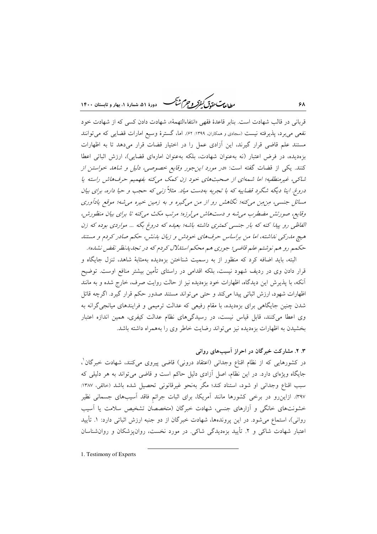ر داندست متقاس کرد.<br>روالطالبات متقاقل کفرکر و جرم شنگ دودهٔ ۵۱، شعادهٔ ۱، بعاد و تابستان ۱۴۰۰

قرباني در قالب شهادت است. بنابر قاعدهٔ فقهي «انتفاءالتهمهٔ»، شهادت دادن كسي كه از شهادت خود نفعی میبرد، پذیرفته نیست (سجادی و همکاران، ۱۳۹۹: ۶۲). اما، گسترهٔ وسیع امارات قضایی که می توانند مستند علم قاضی قرار گیرند، این آزادی عمل را در اختیار قضات قرار میدهد تا به اظهارات بزهدیده، در فرض اعتبار (نه بهعنوان شهادت، بلکه بهعنوان امارهای قضایی)، ارزش اثباتی اعطا کنند. یکی از قضات گفته است: «*در مورد این جور وقایع خصوصی، دلیل و شاهد خواستن از* شاکی، غیرمنطقیه؛ اما شمه ای از صحبتهای خود زن کمک می کنه بفهمیم حرفهاش راسته یا دروغ. اینا دیگه شگرد قضاییه که با تجربه بهدست میاد. مثلاً زنبی که حجب و حیا داره، برای بیان مسائل جنسی، مِن مِن میکنه؛ نگاهش رو از من میگیره و به زمین خیره می شه؛ موقع یادآوری وقایع، صورتش مضطرب می شه و دستهاش می لرزه؛ مرتب مکث می کنه تا برای بیان منظورش، الفاظی رو پیدا کنه که بار جنسی کمتری داشته باشه؛ بعیده که دروغ بگه ... مواردی بوده که زن هیچ مدرکی نداشته، اما من براساس حرفهای خودش و زبان بدنش، حکم صادر کردم و مستند حکمم رو هم نوشتم علم قاضی؛ جوړې هم محکم استللال کردم که در تجدیدینظر نقض نشده».

البته، باید اضافه کرد که منظور از به رسمیت شناختن بزهدیده بهمثابهٔ شاهد، تنزل جایگاه و قرار دادن وی در ردیف شهود نیست، بلکه اقدامی در راستای تأمین بیشتر منافع اوست. توضیح آنکه، با پذیرش این دیدگاه، اظهارات خود بزهدیده نیز از حالت روایت صرف، خارج شده و به مانند اظهارات شهود، ارزش اثباتی پیدا میکند و حتی می تواند مستند صدور حکم قرار گیرد. اگرچه قائل شدن چنین جایگاهی برای بزهدیده، با مقام رفیعی که عدالت ترمیمی و فرایندهای میانجی گرانه به وی اعطا میکنند، قابل قیاس نیست، در رسیدگیهای نظام عدالت کیفری، همین اندازه اعتبار بخشیدن به اظهارات بزهدیده نیز می تواند رضایت خاطر وی را بههمراه داشته باشد.

۳. ۲. مشارکت خبرگان در احراز آسیبهای روانی در کشورهایی که از نظام اقناع وجدانی (اعتقاد درونی) قاضی پیروی میکنند، شهادت خبرگان ٰ، جایگاه ویژهای دارد. در این نظام، اصل آزادی دلیل حاکم است و قاضی میتواند به هر دلیلی که سبب اقناع وجداني او شود، استناد كند؛ مگر بهنحو غيرقانوني تحصيل شده باشد (حالقي، ١٣٨٧: ۳۹۷). ازاین رو در برخی کشورها مانند آمریکا، برای اثبات جرائم فاقد آسیبهای جسمانی نظیر خشونتهای خانگی و آزارهای جنسی، شهادت خبرگان (متخصصان تشخیص سلامت یا آسیب روانی)، استماع می شود. در این پروندهها، شهادت خبرگان از دو جنبه ارزش اثباتی دارد: ۱. تأیید اعتبار شهادت شاک<sub>ی</sub> و ۲. تأیید بزهدیدگی شاکی. در مورد نخست، روانپزشکان و روانشناسان

1. Testimony of Experts

۶۸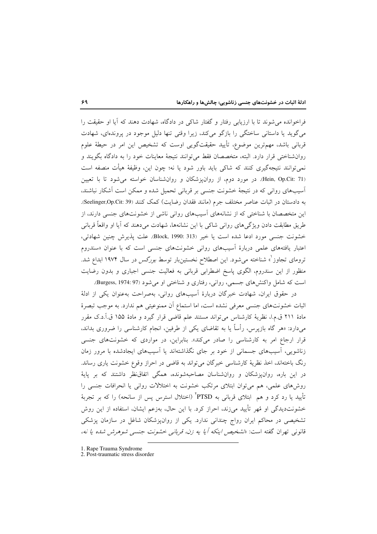فراخوانده می شوند تا با ارزیابی رفتار و گفتار شاکی در دادگاه، شهادت دهند که آیا او حقیقت را میگوید یا داستانی ساختگی را بازگو میکند، زیرا وقتی تنها دلیل موجود در پروندهای، شهادت قربانی باشد، مهمترین موضوع، تأیید حقیقتگویی اوست که تشخیص این امر در حیطهٔ علوم روانشناختی قرار دارد. البته، متخصصان فقط میٍتوانند نتیجهٔ معاینات خود را به دادگاه بگویند و نمیتوانند نتیجهگیری کنند که شاکی باید باور شود یا نه؛ چون این، وظیفهٔ هیأت منصفه است (Hein, Op.Cit: 71). در مورد دوم، از روان پزشکان و روان شناسان خواسته می شود تا با تعیین آسیبهای روانی که در نتیجهٔ خشونت جنسی بر قربانی تحمیل شده و ممکن است آشکار نباشند، به دادستان در اثبات عناصر مختلف جرم (مانند فقدان رضایت) کمک کنند (Seelinger,Op.Cit: 39). این متخصصان با شناختی که از نشانههای آسیبهای روانی ناشی از خشونتهای جنسی دارند، از طريق مطابقت دادن ويژگي هاي رواني شاكي با اين نشانهها، شهادت مي دهند كه آيا او واقعاً قرباني خشونت جنسي مورد ادعا شده است يا خير (Block, 1990: 313). علت يذيرش چنين شهادتي، اعتبار یافتههای علمی دربارهٔ آسیبهای روانی خشونتهای جنسی است که با عنوان «سندروم ترومای تجاوز <sup>(</sup>» شناخته می شود. این اصطلاح نخستینبار توسط *بورگس* در سال ۱۹۷۴ ابداع شد. منظور از این سندروم، الگوی پاسخ اضطرابی قربانی به فعالیت جنسی اجباری و بدون رضایت است که شامل واکنشهای جسمی، روانی، رفتاری و شناختی او می شود (Burgess, 1974: 97.

در حقوق ایران، شهادت خبرگان دربارهٔ آسیبهای روانی، بهصراحت بهعنوان یکی از ادلهٔ اثبات خشونتهاي جنسي معرفي نشده است، اما استماع آن ممنوعيتي هم ندارد. به موجب تبصرهٔ مادهٔ ۲۱۱ ق.م.ا، نظریهٔ کارشناس میتواند مستند علم قاضی قرار گیرد و مادهٔ ۱۵۵ ق.آ.د.ک مقرر میدارد: «هر گاه بازیرس، رأساً یا به تقاضای یکی از طرفین، انجام کارشناسی را ضروری بداند. قرار ارجاع امر به کارشناسی را صادر میکند». بنابراین، در مواردی که خشونتهای جنسی زناشویی، آسیبهای جسمانی از خود بر جای نگذاشتهاند یا آسیبهای ایجادشده با مرور زمان رنگ باختهاند، اخذ نظریهٔ کارشناسی خبرگان میتواند به قاضی در احراز وقوع خشونت یاری رساند. در این باره، روانیزشکان و روانشناسان مصاحبهشونده، همگی اتفاق $i$ نظر داشتند که بر پایهٔ روشهای علمی، هم میتوان ابتلای مرتکب خشونت به اختلالات روانی یا انحرافات جنسی را تأييد يا رد كرد و هم ابتلاى قربانى به PTSDْ (اختلال استرس پس از سانحه) را كه بر تجربهٔ خشونتدیدگی او مُهر تأیید میزند، احراز کرد. با این حال، بهزعم ایشان، استفاده از این روش تشخیصی در محاکم ایران رواج چندانی ندارد. یکی از روانپزشکان شاغل در سازمان پزشکی قانونی تهران گفته است: «تشخص اینکه آیا یه ز*ن، قربانی خشونت جنسی شوهرش شده یا نه،* 

1. Rape Trauma Syndrome

2. Post-traumatic stress disorder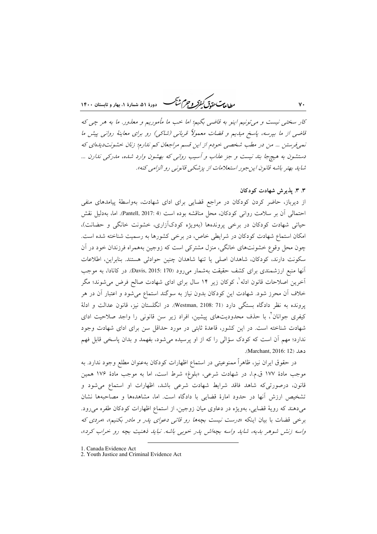*مطالعات حقوق كنفركر و جرم ش<sup>ي</sup>كر* -<br>۷ - دورهٔ ۵۱، شمارهٔ ۱، بهار و تابستان ۱۴۰۰

کار سختنی نیست و می تونیم اینو به قاضی بگیم؛ اما خب ما مأموریم و معذور. ما به هر چی که قاضی از ما بپرسه، پاسخ میدیم و قضات معمولاً قربانی (شاکی) رو برای معاینهٔ روانی پیش ما نمی فرستن ... من در مطب شخصی خودم از این قسم مراجعان کم ندارم؛ زنان خشونت دیدهای که دستشون به هیچ جا بند نیست و جز عذاب و آسیب روانی که بهشون وارد شده، مدرکی ندارن ... شايد بهتر باشه قانون اين جور استعلامات از پزشكي قانونبي رو الزامي كنه».

# ۳. ۳. پذیرش شهادت کودکان

 $\mathsf{v}\cdot$ 

از دیرباز، حاضر کردن کودکان در مراجع قضایی برای ادای شهادت، بهواسطهٔ پیامدهای منفی احتمالی آن بر سلامت روانی کودکان، محل مناقشه بوده است (Pantell, 2017: 4). اما، بهدلیل نقش حیاتی شهادت کودکان در برخی پروندهها (بهویژه کودکآزاری، خشونت خانگی و حضانت)، امکان استماع شهادت کودکان در شرایطی خاص، در برخی کشورها به رسمیت شناخته شده است. چون محل وقوع خشونتهای خانگی، منزل مشترکی است که زوجین بههمراه فرزندان خود در آن سكونت دارند، كودكان، شاهدان اصلى يا تنها شاهدان چنين حوادثى هستند. بنابراين، اطلاعات آنها منبع ارزشمندی برای کشف حقیقت بهشمار میرود (Davis, 2015: 170. در کانادا، به موجب آخرین اصلاحات قانون ادله`، کوکان زیر ۱۴ سال برای ادای شهادت صالح فرض میشوند؛ مگر خلاف آن محرز شود. شهادت این کودکان بدون نیاز به سوگند استماع میشود و اعتبار آن در هر يرونده به نظر دادگاه بستگي دارد (Westman, 2108: 71). در انگلستان نيز، قانون عدالت و ادلهٔ کیفری جوانان<sup>۲</sup>، با حذف محدودیتهای پیشین، افراد زیر سن قانونی را واجد صلاحیت ادای شهادت شناخته است. در این کشور، قاعدهٔ ثابتی در مورد حداقل سن برای ادای شهادت وجود ندارد؛ مهم آن است که کودک سؤالی را که از او پرسیده میشود، بفهمد و بدان پاسخی قابل فهم دهد (Marchant, 2016: 12).

در حقوق ايران نيز، ظاهراً ممنوعيتي در استماع اظهارات كودكان بهعنوان مطلع وجود ندارد. به موجب مادهٔ ۱۷۷ ق.م.ا، در شهادت شرعی، «بلوغ» شرط است، اما به موجب مادهٔ ۱۷۶ همین .<br>قانون، درصورتی که شاهد فاقد شرایط شهادت شرعی باشد، اظهارات او استماع می شود و تشخيص ارزش أنها در حدود امارهٔ قضايي با دادگاه است. اما، مشاهدهها و مصاحبهها نشان میدهند که رویهٔ قضایی، بهویژه در دعاوی میان زوجین، از استماع اظهارات کودکان طفره می رود. برخی قضات با بیان اینکه «درست نیست بچهها رو قاتبی دعوای یدر و مادر بکنیم»، «مردی که واسه زنش شوهر بديه، شايد واسه بچهاش پدر خوبي باشه. نبايد ذهنيت بچه رو خراب كرد»،

<sup>1.</sup> Canada Evidence Act

<sup>2.</sup> Youth Justice and Criminal Evidence Act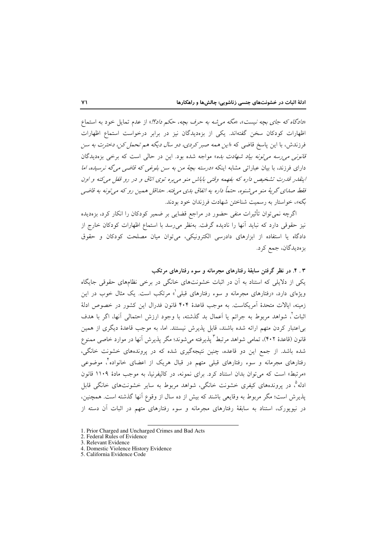«دادگاه که جای بچه نیست»، «مگه مرشه به حرف بچه، حکم داد؟!» از عدم تمایل خود به استماع اظهارات کودکان سخن گفتهاند. یکی از بزهدیدگان نیز در برابر درخواست استماع اظهارات فرزندش، با این پاسخ قاضی که «*این همه صبر کردی، دو سال دیگه هم تحمل کن، دخترت به سن* .<br>ق*انونی می رسه می تونه بیاد شهادت بده*» مواجه شده بود. این در حالی است که برخی بزهدیدگان دارای فرزند، با بیان عباراتی مشابه اینکه *«درسته بچهٔ من به سن بلوغی که قاضی می گه نرسیده، اما* اینقدر قدرت تشخیص داره که بفهمه وقتی باباش منو می بره توی اتاق و در رو قفل می کنه و اون فقط صدای گريهٔ منو مي شنوه، حتماً داره په اتفاق بدي مي فته. حداقل همين رو كه مي تونه به قاضي بگه»، خواستار به رسمیت شناختن شهادت فرزندان خود بودند.

اگرچه نمیتوان تأثیرات منفی حضور در مراجع قضایی بر ضمیر کودکان را انکار کرد، بزهدیده نیز حقوقی دارد که نباید آنها را نادیده گرفت. بهنظر می رسد با استماع اظهارات کودکان خارج از دادگاه یا استفاده از ابزارهای دادرسی الکترونیکی، می توان میان مصلحت کودکان و حقوق بزەديدگان، جمع كرد.

# ۴ . ۴. در نظر گرفتن سابقهٔ رفتارهای مجرمانه و سوء رفتارهای مرتکب

یکی از دلایلی که استناد به آن در اثبات خشونتهای خانگی در برخی نظامهای حقوقی جایگاه ویژهای دارد، «رفتارهای مجرمانه و سوءِ رفتارهای قبلی ْ» مرتکب است. یک مثال خوب در این زمینه، ایالات متحدهٔ آمریکاست. به موجب قاعدهٔ ۴۰۴ قانون فدرال این کشور در خصوص ادلهٔ اثبات'، شواهد مربوط به جرائم یا اَعمال بد گذشته، با وجود ارزش احتمالی اَنها، اگر با هدف بر اعتبار کردن متهم ارائه شده باشند، قابل پذیرش نیستند. اما، به موجب قاعدهٔ دیگری از همین قانون (قاعدهٔ ۴۰۲)، تمامی شواهد مرتبط "یذیرفته می شوند؛ مگر پذیرش آنها در موارد خاصی ممنوع شده باشد. از جمع این دو قاعده، چنین نتیجهگیری شده که در پروندههای خشونت خانگی، رفتارهای مجرمانه و سوء رفتارهای قبلی متهم در قبال هریک از اعضای خانواده ٔ، موضوعی «مرتبط» است که می توان بدان استناد کرد. برای نمونه، در کالیفرنیا، به موجب مادهٔ ۱۱۰۹ قانون ادله°، در پروندههای کیفری خشونت خانگی، شواهد مربوط به سایر خشونتهای خانگی قابل يذيرش است؛ مگر مربوط به وقايعي باشند كه بيش از ده سال از وقوع آنها گذشته است. همچنين، در نیویورک، استناد به سابقهٔ رفتارهای مجرمانه و سوء رفتارهای متهم در اثبات آن دسته از

<sup>1.</sup> Prior Charged and Uncharged Crimes and Bad Acts

<sup>2.</sup> Federal Rules of Evidence

<sup>3.</sup> Relevant Evidence

<sup>4.</sup> Domestic Violence History Evidence

<sup>5.</sup> California Evidence Code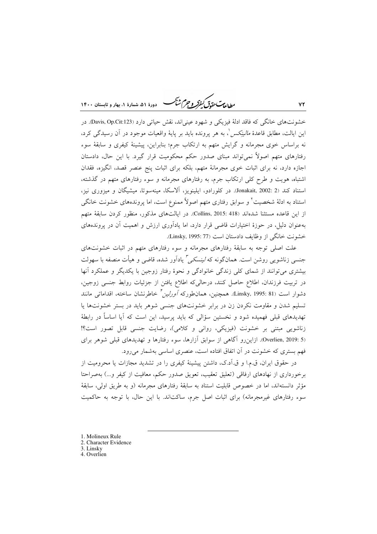طابع تحقق كنفركه وجرم شجم ۰<br>دورهٔ ۵۱، شمارهٔ ۱، بهار و تابستان ۱۴۰۰

خشونتهاي خانگي كه فاقد ادلهٔ فيزيكي و شهود عيني|ند، نقش حياتي دارد (Davis, Op.Cit:123). در این ایالت، مطابق قاعدهٔ *مالینِکس ْ*، به هر پرونده باید بر پایهٔ واقعیات موجود در آن رسیدگی کرد، نه براساس خوی مجرمانه و گرایش متهم به ارتکاب جرم؛ بنابراین، پیشینهٔ کیفری و سابقهٔ سوء رفتارهای متهم اصولاً نمی تواند مبنای صدور حکم محکومیت قرار گیرد. با این حال، دادستان اجازه دارد، نه برای اثبات خوی مجرمانهٔ متهم، بلکه برای اثبات پنج عنصر قصد، انگیزه، فقدان اشتباه، هویت و طرح کلّی ارتکاب جرم، به رفتارهای مجرمانه و سوء رفتارهای متهم در گذشته، استناد کند (2 :Jonakait, 2002). در کلورادو، ایلینویز، آلاسکا، مینهسوتا، میشیگان و میزوری نیز، استناد به ادلهٔ شخصیت ٔ و سوابق رفتاری متهم اصولاً ممنوع است، اما پروندههای خشونت خانگی از اين قاعده مستثنا شدهاند (Collins, 2015: 418). در ايالتهاي مذكور، منظور كردن سابقة متهم بهعنوان دلیل، در حوزهٔ اختیارات قاضی قرار دارد، اما یادآوری ارزش و اهمیت آن در پروندههای خشونت خانگی از وظایف دادستان است (Linsky, 1995: 77).

علت اصلی توجه به سابقهٔ رفتارهای مجرمانه و سوء رفتارهای متهم در اثبات خشونتهای جنسی زناشویی روشن است. همانگونه که *لینسکی <sup>۳</sup>* یادآور شده، قاضی و هیأت منصفه با سهولت بیشتری می توانند از شمای کلی زندگی خانوادگی و نحوهٔ رفتار زوجین با یکدیگر و عملکرد آنها در تربیت فرزندان، اطلاع حاصل کنند، درحالیکه اطلاع یافتن از جزئیات روابط جنسی زوجین، دشوار است (Linsky, 1995: 81). همچنین، همان $d$ لورکه *آورلین تخ*اطرنشان ساخته، اقدامات<sub>ی</sub> مانند تسلیم شدن و مقاومت نکردن زن در برابر خشونتهای جنسی شوهر باید در بستر خشونتها یا تهدیدهای قبلی فهمیده شود و نخستین سؤالی که باید پرسید، این است که آیا اساساً در رابطهٔ زناشویی مبتنی بر خشونت (فیزیکی، روانی و کلامی)، رضایت جنسی قابل تصور است؟! (Overlien, 2019: 5). ازاین رو آگاهی از سوابق آزارها، سوء رفتارها و تهدیدهای قبلی شوهر برای فهم بستری که خشونت در آن اتفاق افتاده است، عنصری اساسی بهشمار می رود.

در حقوق ایران، ق.م.ا و ق.اّد.ک، داشتن پیشینهٔ کیفری را در تشدید مجازات یا محرومیت از برخورداری از نهادهای ارفاقی (تعلیق تعقیب، تعویق صدور حکم، معافیت از کیفر و...) بهصراحتا مؤثر دانستهاند، اما در خصوص قابلیت استناد به سابقهٔ رفتارهای مجرمانه (و به طریق اولی، سابقهٔ سوء رفتارهای غیرمجرمانه) برای اثبات اصل جرم، ساکتاند. با این حال، با توجه به حاکمیت

- 1. Molineux Rule
- 2. Character Evidence

3. Linsky

4. Overlien

 $YY$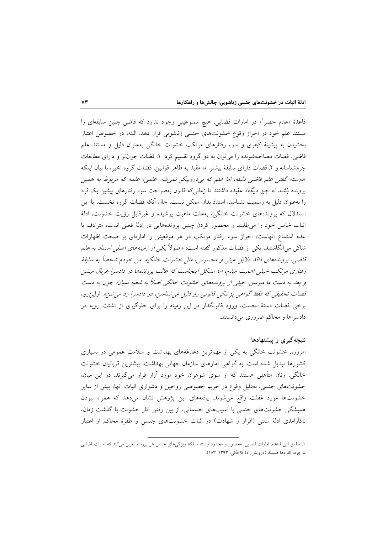قاعدهٔ «عدم حصر ْ» در امارات قضایی، هیچ ممنوعیتی وجود ندارد که قاضی چنین سابقهای را مستند علم خود در احراز وقوع خشونتهای جنسی زناشویی قرار دهد. البته، در خصوص اعتبار بخشیدن به پیشینهٔ کیفری و سوء رفتارهای مرتکب خشونت خانگی بهعنوان دلیل و مستند علم قاضی، قضات مصاحبهشونده را می توان به دو گروه تقسیم کرد: ۱. قضات جوان تر و دارای مطالعات جرمشناسانه و ۲. قضات دارای سابقهٔ بیشتر اما مقید به ظاهر قوانین. قضات گروه اخیر، با بیان اینکه «درسته گفتن علم قاضی دلیله، اما علم که ب<sub>ح</sub>دروییکر نمی شه. علمی، علمه که مربوط به همین *یرونده باشه، نه چیز دیگه» عقید*ه داشتند تا زمانی که قانون بهصراحت سوء رفتارهای پیشین یک فرد را بهعنوان دلیل به رسمیت نشناسد، استناد بدان ممکن نیست. حال آنکه قضات گروه نخست، با این استدلال که پروندههای خشونت خانگی، بهعلت ماهیت پوشیده و غیرقابل رؤیت خشونت، ادلهٔ اثبات خاص خود را می طلبند و محصور کردن چنین پروندههایی در ادلهٔ فعلی اثبات، مترادف با عدم استماع أنهاست، احراز سوء رفتار مرتكب در هر موقعيتي را امارهاي بر صحت اظهارات شاک<sub>ی</sub> می¦نگاشتند. یکی از قضات مذکور گفته است: «اصولاً ی*کی از زمینههای اصلی استناد به عل*م قاضی، پروندههای فاقد دلایل عینی و محسوس، مثل خشونت خانگیه. من خودم شخصاً به سابقهٔ رفتاری مرتکب خیلی اهمیت میدم، اما مشکل اینجاست که غالب پروندهها در دادسرا غربال میشن و بعد به دست ما میرسن. خیلی از پروندههای خشونت خانگی اصلاً به شعبه نمیان؛ چون به دست قضات تحقیقی که فقط گواهی پزشکی قانونی رو دلیل می شناسن، در دادسرا رد می شن». ازاین رو، برخی قضات دستهٔ نخست، ورود قانونگذار در این زمینه را برای جلوگیری از تشتت رویه در دادسراها و محاکم ضروری می دانستند.

## نتیجهگیری و پیشنهادها

امروزه، خشونت خانگی به یکی از مهمترین دغدغههای بهداشت و سلامت عمومی در بسیاری کشورها تبدیل شده است. به گواهی آمارهای سازمان جهانی بهداشت، بیشترین قربانیان خشونت خانگی، زنان متأهلی هستند که از سوی شوهران خود مورد آزار قرار میگیرند. در این میان، خشونتهای جنسی، بهدلیل وقوع در حریم خصوصی زوجین و دشواری اثبات أنها، بیش از سایر خشونتها مورد غفلت واقع مى شوند. يافتههاى اين پژوهش نشان مىدهد كه همراه نبودن همیشگی خشونتهای جنسی با أسیبهای جسمانی، از بین رفتن أثار خشونت با گذشت زمان، ناکارامدی ادلهٔ سنتی (اقرار و شهادت) در اثبات خشونتهای جنسی و طفرهٔ محاکم از اعتبار

١. مطابق این قاعده، امارات قضایی، محصور و محدود نیستند، بلکه ویژگیهای خاص هر پرونده تعیین میکند که امارات قضایی موجود، کدامها هستند (درویشززادهٔ کاخکی، ۱۳۹۳: ۱۸۳).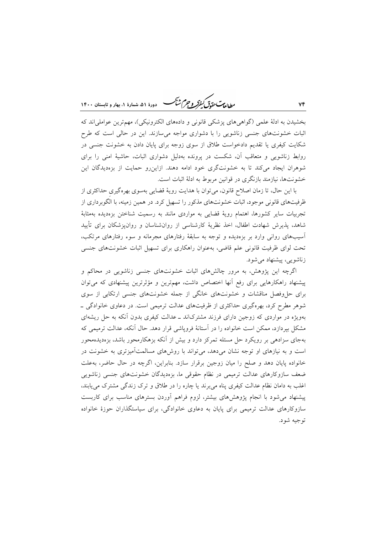مطالعات حقوق كنفركه وجرم شيحسه —<br>— دورهٔ ۵۱، شمارهٔ ۱، بهار و تابستان ۱۴۰۰

بخشیدن به ادلهٔ علمی (گواهی های پزشکی قانونی و دادههای الکترونیکی)، مهمترین عواملی اند که اثبات خشونتهای جنسی زناشویی را با دشواری مواجه میسازند. این در حالی است که طرح شکایت کیفری یا تقدیم دادخواست طلاق از سوی زوجه برای پایان دادن به خشونت جنسی در روابط زناشویی و متعاقب آن، شکست در پرونده بهدلیل دشواری اثبات، حاشیهٔ امنی را برای شوهران ایجاد میکند تا به خشونتگری خود ادامه دهند. ازاین رو حمایت از بزهدیدگان این خشونتها، نیازمند بازنگری در قوانین مربوط به ادلهٔ اثبات است.

با این حال، تا زمان اصلاح قانون، می توان با هدایت رویهٔ قضایی بهسوی بهرهگیری حداکثری از ظرفیتهای قانونی موجود، اثبات خشونتهای مذکور را تسهیل کرد. در همین زمینه، با الگوبرداری از تجربیات سایر کشورها، اهتمام رویهٔ قضایی به مواردی مانند به رسمیت شناختن بزهدیده بهمثابهٔ شاهد، پذیرش شهادت اطفال، اخذ نظریهٔ کارشناسی از روانشناسان و روان،پزشکان برای تأیید آسیبهای روانی وارد بر بزهدیده و توجه به سابقهٔ رفتارهای مجرمانه و سوء رفتارهای مرتکب، تحت لوای ظرفیت قانونی علم قاضی، بهعنوان راهکاری برای تسهیل اثبات خشونتهای جنسی زناشويي، پيشنهاد مي شود.

اگرچه این پژوهش، به مرور چالشهای اثبات خشونتهای جنسی زناشویی در محاکم و پیشنهاد راهکارهایی برای رفع آنها اختصاص داشت، مهمترین و مؤثرترین پیشنهادی که می توان برای حل وفصل مناقشات و خشونتهای خانگی از جمله خشونتهای جنسی ارتکابی از سوی شوهر مطرح کرد، بهرهگیری حداکثری از ظرفیتهای عدالت ترمیمی است. در دعاوی خانوادگی ــ بهویژه در مواردی که زوجین دارای فرزند مشترکاند ـ عدالت کیفری بدون آنکه به حل ریشهای مشکل بیردازد، ممکن است خانواده را در آستانهٔ فرویاشی قرار دهد. حال آنکه، عدالت ترمیمی که بهجای سزادهی بر رویکرد حل مسئله تمرکز دارد و بیش از آنکه بزهکارمحور باشد، بزهدیدهمحور است و به نیازهای او توجه نشان میدهد، میتواند با روشهای مسالمتآمیزتری به خشونت در خانواده پایان دهد و صلح را میان زوجین برقرار سازد. بنابراین، اگرچه در حال حاضر، بهعلت ضعف سازوکارهای عدالت ترمیمی در نظام حقوقی ما، بزەدیدگان خشونتهای جنسی زناشویی اغلب به دامان نظام عدالت کیفری پناه می برند یا چاره را در طلاق و ترک زندگی مشترک می یابند، پیشنهاد میشود با انجام پژوهشهای بیشتر، لزوم فراهم أوردن بسترهای مناسب برای کاربست سازوکارهای عدالت ترمیمی برای پایان به دعاوی خانوادگی، برای سیاستگذاران حوزهٔ خانواده توجيه شود.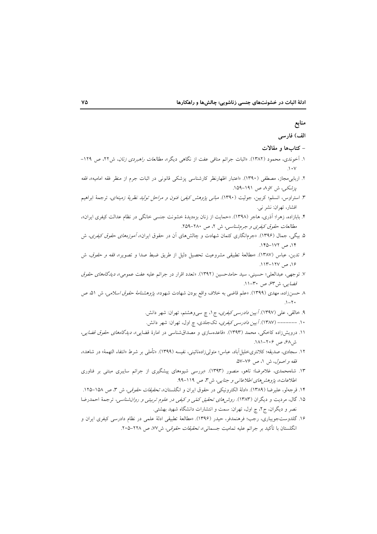| منابع                                                                                                                          |
|--------------------------------------------------------------------------------------------------------------------------------|
| الف) فارسى                                                                                                                     |
| – کتابها و مقالات                                                                                                              |
| ۱. آخوندی، محمود (۱۳۸۲). «اثبات جرائم منافی عفت از نگاهی دیگر»، <i>مطالعات راهبردی زنان</i> ، ش۲۲، ص ۱۲۹–                      |
| .\ $\cdot$ \                                                                                                                   |
| ۲. اربابی.مجاز، مصطفی (۱۳۹۰). «اعتبار اظهارنظر کارشناسی پزشکی قانونی در اثبات جرم از منظر فقه امامیه»، <i>فقه</i>              |
| پزشکی، ش ⁄او^، ص ۱۹۱–۱۵۹.                                                                                                      |
| ۳. استراوس، انسلم؛ کربین، جولیت (۱۳۹۰). <i>مبان<sub>ی</sub> پژوهش کیفی: فنون و مراحل تولید نظریهٔ زمینهای</i> ، ترجمهٔ ابراهیم |
| افشار، تهران: نشر نبي.                                                                                                         |
| ۴. بابازاده، زهرا؛ آذری، هاجر (۱۳۹۸). «حمایت از زنان بزهدیدهٔ خشونت جنسی خانگی در نظام عدالت کیفری ایران»،                     |
| مطالعات حقوق کیفری و جرم شناسی، ش ۲، ص ۲۸۰-۲۵۹.                                                                                |
| ۵. بیگی، جمال (۱۳۹۶). «جرمانگاری کتمان شهادت و چالشهای اَن در حقوق ایران»، <i>آموزههای حقوق کیفری</i> ، ش                      |
| ۱۴، ص ۱۷۲–۱۴۵.                                                                                                                 |
| ۶. تدین، عباس (۱۳۸۷). «مطالعهٔ تطبیقی مشروعیت تحصیل دلیل از طریق ضبط صدا و تصویر»، <i>فقه و حقوق</i> ، ش                       |
| ۱۶، ص ۱۲۷–۱۱۳.                                                                                                                 |
| ۷. توجهی، عبدالعلی؛ حسینی، سید حامدحسین (۱۳۹۲). «تعدد اقرار در جرائم علیه عفت عمومی»، <i>دیدگاههای حقوق</i>                    |
| قض <i>ایی</i> ، ش۳۴، ص ۳۰-۱۱.                                                                                                  |
| ۸ حسنزاده، مهدی (۱۳۹۹). «علم قاضی به خلاف واقع بودن شهادت شهود»، <i>پژوهشنامهٔ حقوق اسلامی</i> ، ش ۵۱، ص<br>$.1 - 7.$          |
| ۹. خالقی، عل <sub>ّی</sub> (۱۳۹۷) <i>. آیین دادرسی کیفری</i> ، ج۱، چ سیeهشتم، تهران: شهر دانش.                                 |
| ۱۰. –––––– (۱۳۸۷) <i>. آیین دادرسی کیفری</i> ، تکجلدی، چ اول، تهران: شهر دانش.                                                 |
| ۱۱. درویشزاده کاخکی، محمد (۱۳۹۳). «قاعدهسازی و مصداقشناسی در امارهٔ قضایی»، <i>دیدگاههای حقوق قضایی</i> ،                      |
| ش۶۸، ص ۲۰۶–۱۸۱.                                                                                                                |
| ۱۲. سجادی، صدیقه؛ کلانتریخلیل[اباد، عباس؛ متولیزادهنائینی، نفیسه (۱۳۹۹). «تأملی بر شرط «انتفاء التهمهٔ» در شاهد»،              |
| فقه و اصول، ش ١، ص ٧٤-٥٧.                                                                                                      |
| ۱۳. شاههحمدی، غلامرضا؛ تاهو، منصور (۱۳۹۳). «بررسی شیوههای پیشگیری از جرائم سایبری مبتنی بر فناوری                              |
| اطلاعات»، <i>پژوهش های اطلاعاتی و جنایی</i> ، ش۳، ص ۱۱۹-۹۹.                                                                    |
| ۱۴. قرجهلو، علیرضا (۱۳۸۹). «ادلهٔ الکترونیکی در حقوق ایران و انگلستان»، <i>تحقیقات حقوقی،</i> ش ۳، ص ۱۵۸–۱۲۵.                  |
| ۱۵. گال، مردیت و دیگران (۱۳۸۳). <i>روش۵ای تحقیق کمّی و کیفی در علوم تربیتی و روانشناسی</i> ، ترجمهٔ احمدرضا                    |
| نصر و دیگران، ج۲، چ اول، تهران: سمت و انتشارات دانشگاه شهید بهشتی.                                                             |
| ۱۶. گلدوستجویباری، رجب؛ فرهنمدفر، حیدر (۱۳۹۶). «مطالعهٔ تطبیقی ادلهٔ علمی در نظام دادرسی کیفری ایران و                         |
| انگلستان با تأکید بر جرائم علیه تمامیت جسمانی»، <i>تحقیقات حقوقی،</i> ش۷۷، ص ۲۲۸–۲۰۵.                                          |
|                                                                                                                                |
|                                                                                                                                |
|                                                                                                                                |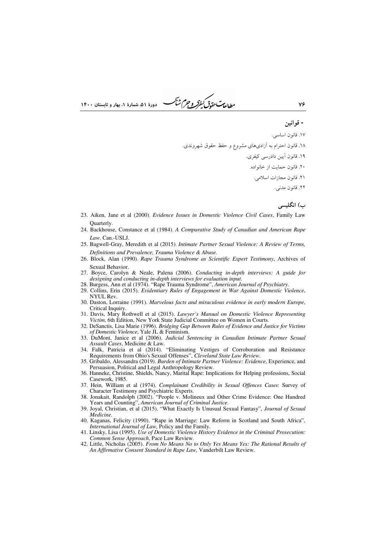*طابع<sup>ت</sup> حقوق كيفركو جرم شبك*ر \* دورهٔ ۵۱، شمارهٔ ۱، بهار و تابستان ۱۴۰۰

- قوانين

vç

- ١٧. قانون اساسي.
- ۱۸. قانون احترام به آزادیهای مشروع و حفظ حقوق شهروندی.
	- ١٩. قانون آيين دادرسي كيفري.
	- ٢٠. قانون حمايت از خانواده.
		- ٢١. قانون مجازات اسلامي.

٢٢. قانون مدني.

ب) انگلیسی

- 23. Aiken, Jane et al (2000). *Evidence Issues in Domestic Violence Civil Cases*, Family Law Ouarterly.
- 24. Backhouse, Constance et al (1984). A Comparative Study of Canadian and American Rape Law. Can.-USLJ
- 25. Bagwell-Gray, Meredith et al (2015). Intimate Partner Sexual Violence: A Review of Terms, Definitions and Prevalence, Trauma Violence & Abuse.
- 26. Block, Alan (1990). Rape Trauma Syndrome as Scientific Expert Testimony, Archives of Sexual Behavior.
- 27. Boyce, Carolyn & Neale, Palena (2006). Conducting in-depth interviews: A guide for designing and conducting in-depth interviews for evaluation input.
- 28. Burgess, Ann et al (1974). "Rape Trauma Syndrome", American Journal of Psychiatry.
- 29. Collins, Erin (2015). Evidentiary Rules of Engagement in War Against Domestic Violence, NYUL Rev.
- 30. Daston, Lorraine (1991). Marvelous facts and miraculous evidence in early modern Europe, Critical Inquiry.
- 31. Davis, Mary Rothwell et al (2015). Lawyer's Manual on Domestic Violence Representing Victim, 6th Edition, New York State Judicial Committee on Women in Courts.
- 32. DeSanctis, Lisa Marie (1996). Bridging Gap Between Rules of Evidence and Justice for Victims of Domestic Violence, Yale JL & Feminism.
- 33. DuMont, Janice et al (2006). Judicial Sentencing in Canadian Intimate Partner Sexual Assault Cases, Medicine & Law.
- 34. Falk, Patricia et al (2014). "Eliminating Vestiges of Corroboration and Resistance Requirements from Ohio's Sexual Offenses", Cleveland State Law Review.
- 35. Gribaldo, Alessandra (2019). Burden of Intimate Partner Violence: Evidence, Experience, and Persuasion, Political and Legal Anthropology Review.
- 36. Hanneke, Christine, Shields, Nancy, Marital Rape: Implications for Helping professions, Social Casework, 1985.
- 37. Hein, William et al (1974). Complainant Credibility in Sexual Offences Cases: Survey of Character Testimony and Psychiatric Experts.
- 38. Jonakait, Randolph (2002). "People v. Molineux and Other Crime Evidence: One Hundred Years and Counting", American Journal of Criminal Justice.<br>39. Joyal, Christian, et al (2015). "What Exactly Is Unusual Sexual Fantasy", Journal of Sexual
- Medicine.
- 40. Kaganas, Felicity (1990), "Rape in Marriage: Law Reform in Scotland and South Africa". International Journal of Law, Policy and the Family.
- 41. Linsky, Lisa (1995). Use of Domestic Violence History Evidence in the Criminal Prosecution: Common Sense Approach, Pace Law Review.
- 42. Little, Nicholas (2005). From No Means No to Only Yes Means Yes: The Rational Results of An Affirmative Consent Standard in Rape Law, Vanderbilt Law Review.